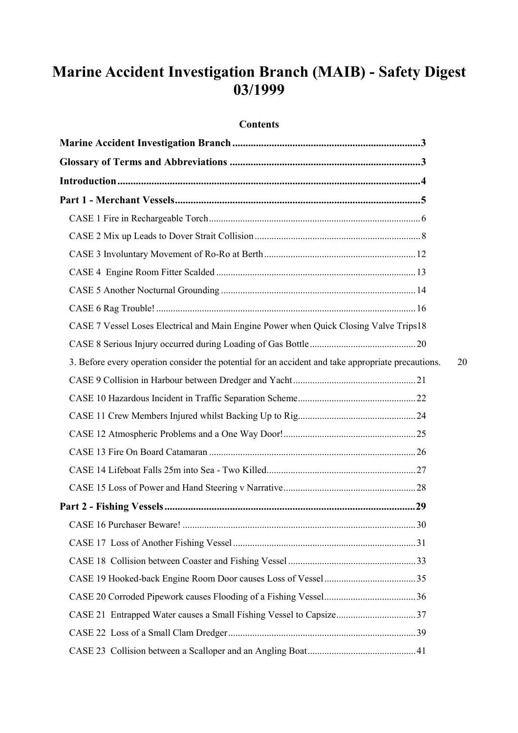# **Marine Accident Investigation Branch (MAIB) - Safety Digest 03/1999**

### **Contents**

| CASE 7 Vessel Loses Electrical and Main Engine Power when Quick Closing Valve Trips18              |    |
|----------------------------------------------------------------------------------------------------|----|
|                                                                                                    |    |
| 3. Before every operation consider the potential for an accident and take appropriate precautions. | 20 |
|                                                                                                    |    |
|                                                                                                    |    |
|                                                                                                    |    |
|                                                                                                    |    |
|                                                                                                    |    |
|                                                                                                    |    |
|                                                                                                    |    |
|                                                                                                    |    |
|                                                                                                    |    |
|                                                                                                    |    |
|                                                                                                    |    |
|                                                                                                    |    |
|                                                                                                    |    |
|                                                                                                    |    |
|                                                                                                    |    |
|                                                                                                    |    |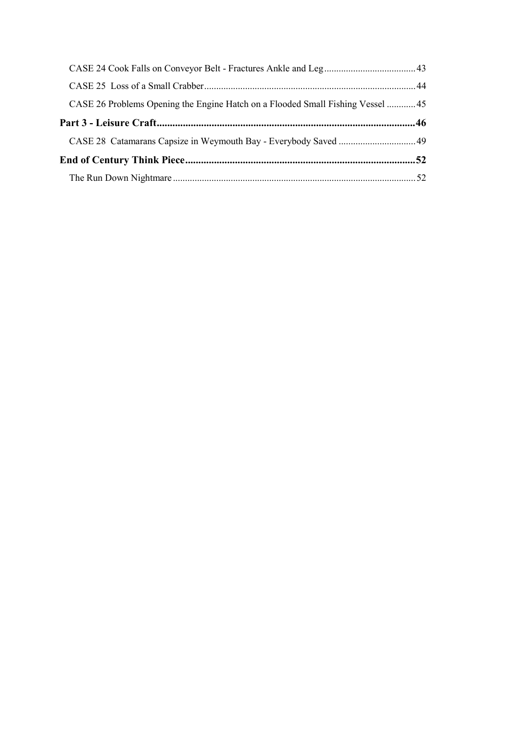| CASE 26 Problems Opening the Engine Hatch on a Flooded Small Fishing Vessel  45 |  |
|---------------------------------------------------------------------------------|--|
|                                                                                 |  |
|                                                                                 |  |
|                                                                                 |  |
|                                                                                 |  |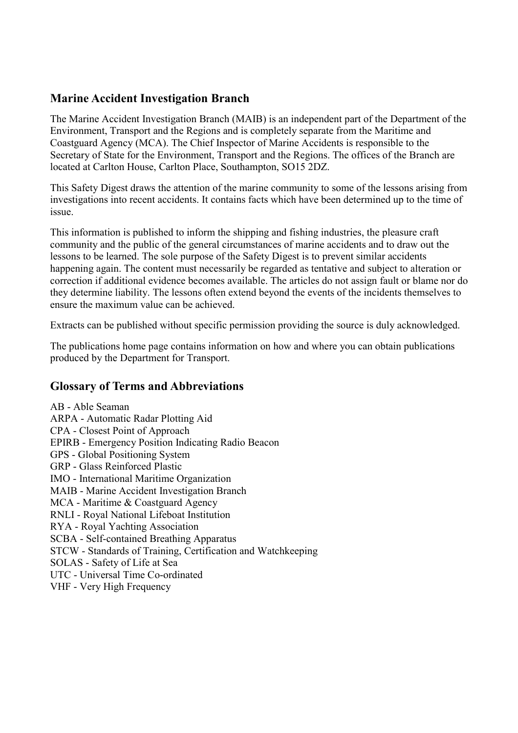# <span id="page-2-0"></span>**Marine Accident Investigation Branch**

The Marine Accident Investigation Branch (MAIB) is an independent part of the Department of the Environment, Transport and the Regions and is completely separate from the Maritime and Coastguard Agency (MCA). The Chief Inspector of Marine Accidents is responsible to the Secretary of State for the Environment, Transport and the Regions. The offices of the Branch are located at Carlton House, Carlton Place, Southampton, SO15 2DZ.

This Safety Digest draws the attention of the marine community to some of the lessons arising from investigations into recent accidents. It contains facts which have been determined up to the time of issue.

This information is published to inform the shipping and fishing industries, the pleasure craft community and the public of the general circumstances of marine accidents and to draw out the lessons to be learned. The sole purpose of the Safety Digest is to prevent similar accidents happening again. The content must necessarily be regarded as tentative and subject to alteration or correction if additional evidence becomes available. The articles do not assign fault or blame nor do they determine liability. The lessons often extend beyond the events of the incidents themselves to ensure the maximum value can be achieved.

Extracts can be published without specific permission providing the source is duly acknowledged.

The publications home page contains information on how and where you can obtain publications produced by the Department for Transport.

# **Glossary of Terms and Abbreviations**

AB - Able Seaman ARPA - Automatic Radar Plotting Aid CPA - Closest Point of Approach EPIRB - Emergency Position Indicating Radio Beacon GPS - Global Positioning System GRP - Glass Reinforced Plastic IMO - International Maritime Organization MAIB - Marine Accident Investigation Branch MCA - Maritime & Coastguard Agency RNLI - Royal National Lifeboat Institution RYA - Royal Yachting Association SCBA - Self-contained Breathing Apparatus STCW - Standards of Training, Certification and Watchkeeping SOLAS - Safety of Life at Sea UTC - Universal Time Co-ordinated VHF - Very High Frequency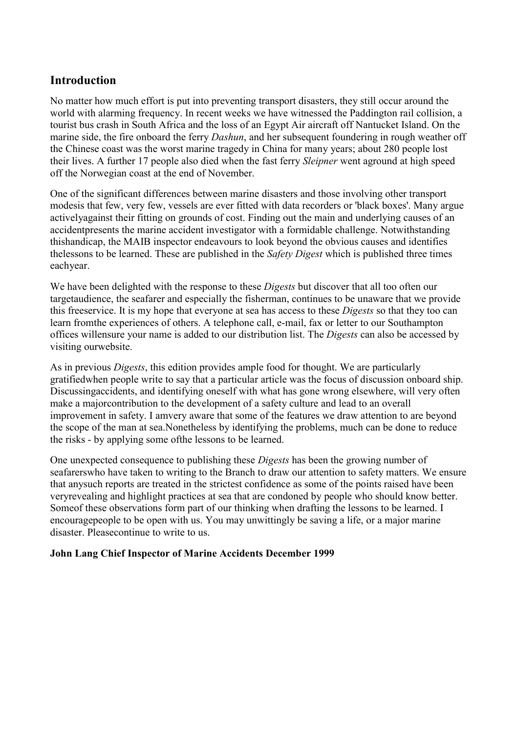# <span id="page-3-0"></span>**Introduction**

No matter how much effort is put into preventing transport disasters, they still occur around the world with alarming frequency. In recent weeks we have witnessed the Paddington rail collision, a tourist bus crash in South Africa and the loss of an Egypt Air aircraft off Nantucket Island. On the marine side, the fire onboard the ferry *Dashun*, and her subsequent foundering in rough weather off the Chinese coast was the worst marine tragedy in China for many years; about 280 people lost their lives. A further 17 people also died when the fast ferry *Sleipner* went aground at high speed off the Norwegian coast at the end of November.

One of the significant differences between marine disasters and those involving other transport modesis that few, very few, vessels are ever fitted with data recorders or 'black boxes'. Many argue activelyagainst their fitting on grounds of cost. Finding out the main and underlying causes of an accidentpresents the marine accident investigator with a formidable challenge. Notwithstanding thishandicap, the MAIB inspector endeavours to look beyond the obvious causes and identifies thelessons to be learned. These are published in the *Safety Digest* which is published three times eachyear.

We have been delighted with the response to these *Digests* but discover that all too often our targetaudience, the seafarer and especially the fisherman, continues to be unaware that we provide this freeservice. It is my hope that everyone at sea has access to these *Digests* so that they too can learn fromthe experiences of others. A telephone call, e-mail, fax or letter to our Southampton offices willensure your name is added to our distribution list. The *Digests* can also be accessed by visiting ourwebsite.

As in previous *Digests*, this edition provides ample food for thought. We are particularly gratifiedwhen people write to say that a particular article was the focus of discussion onboard ship. Discussingaccidents, and identifying oneself with what has gone wrong elsewhere, will very often make a majorcontribution to the development of a safety culture and lead to an overall improvement in safety. I amvery aware that some of the features we draw attention to are beyond the scope of the man at sea.Nonetheless by identifying the problems, much can be done to reduce the risks - by applying some ofthe lessons to be learned.

One unexpected consequence to publishing these *Digests* has been the growing number of seafarerswho have taken to writing to the Branch to draw our attention to safety matters. We ensure that anysuch reports are treated in the strictest confidence as some of the points raised have been veryrevealing and highlight practices at sea that are condoned by people who should know better. Someof these observations form part of our thinking when drafting the lessons to be learned. I encouragepeople to be open with us. You may unwittingly be saving a life, or a major marine disaster. Pleasecontinue to write to us.

### **John Lang Chief Inspector of Marine Accidents December 1999**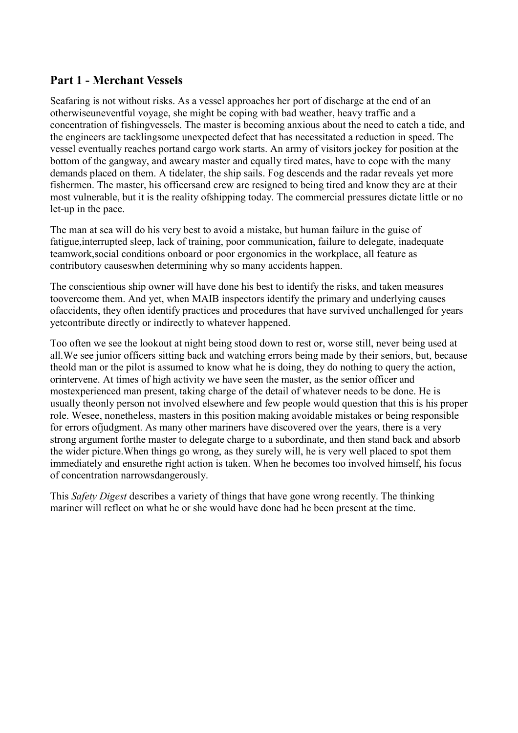# <span id="page-4-0"></span>**Part 1 - Merchant Vessels**

Seafaring is not without risks. As a vessel approaches her port of discharge at the end of an otherwiseuneventful voyage, she might be coping with bad weather, heavy traffic and a concentration of fishingvessels. The master is becoming anxious about the need to catch a tide, and the engineers are tacklingsome unexpected defect that has necessitated a reduction in speed. The vessel eventually reaches portand cargo work starts. An army of visitors jockey for position at the bottom of the gangway, and aweary master and equally tired mates, have to cope with the many demands placed on them. A tidelater, the ship sails. Fog descends and the radar reveals yet more fishermen. The master, his officersand crew are resigned to being tired and know they are at their most vulnerable, but it is the reality ofshipping today. The commercial pressures dictate little or no let-up in the pace.

The man at sea will do his very best to avoid a mistake, but human failure in the guise of fatigue,interrupted sleep, lack of training, poor communication, failure to delegate, inadequate teamwork,social conditions onboard or poor ergonomics in the workplace, all feature as contributory causeswhen determining why so many accidents happen.

The conscientious ship owner will have done his best to identify the risks, and taken measures toovercome them. And yet, when MAIB inspectors identify the primary and underlying causes ofaccidents, they often identify practices and procedures that have survived unchallenged for years yetcontribute directly or indirectly to whatever happened.

Too often we see the lookout at night being stood down to rest or, worse still, never being used at all.We see junior officers sitting back and watching errors being made by their seniors, but, because theold man or the pilot is assumed to know what he is doing, they do nothing to query the action, orintervene. At times of high activity we have seen the master, as the senior officer and mostexperienced man present, taking charge of the detail of whatever needs to be done. He is usually theonly person not involved elsewhere and few people would question that this is his proper role. Wesee, nonetheless, masters in this position making avoidable mistakes or being responsible for errors ofjudgment. As many other mariners have discovered over the years, there is a very strong argument forthe master to delegate charge to a subordinate, and then stand back and absorb the wider picture.When things go wrong, as they surely will, he is very well placed to spot them immediately and ensurethe right action is taken. When he becomes too involved himself, his focus of concentration narrowsdangerously.

This *Safety Digest* describes a variety of things that have gone wrong recently. The thinking mariner will reflect on what he or she would have done had he been present at the time.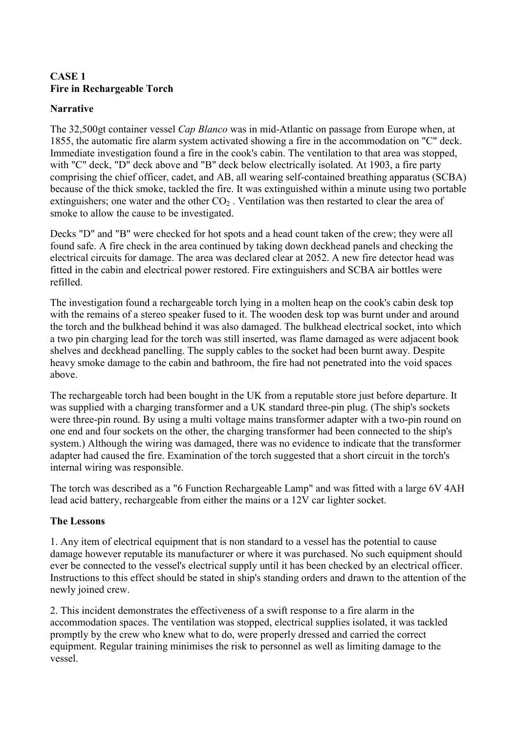### <span id="page-5-0"></span>**CASE 1 Fire in Rechargeable Torch**

### **Narrative**

The 32,500gt container vessel *Cap Blanco* was in mid-Atlantic on passage from Europe when, at 1855, the automatic fire alarm system activated showing a fire in the accommodation on "C" deck. Immediate investigation found a fire in the cook's cabin. The ventilation to that area was stopped, with "C" deck, "D" deck above and "B" deck below electrically isolated. At 1903, a fire party comprising the chief officer, cadet, and AB, all wearing self-contained breathing apparatus (SCBA) because of the thick smoke, tackled the fire. It was extinguished within a minute using two portable extinguishers; one water and the other  $CO<sub>2</sub>$ . Ventilation was then restarted to clear the area of smoke to allow the cause to be investigated.

Decks "D" and "B" were checked for hot spots and a head count taken of the crew; they were all found safe. A fire check in the area continued by taking down deckhead panels and checking the electrical circuits for damage. The area was declared clear at 2052. A new fire detector head was fitted in the cabin and electrical power restored. Fire extinguishers and SCBA air bottles were refilled.

The investigation found a rechargeable torch lying in a molten heap on the cook's cabin desk top with the remains of a stereo speaker fused to it. The wooden desk top was burnt under and around the torch and the bulkhead behind it was also damaged. The bulkhead electrical socket, into which a two pin charging lead for the torch was still inserted, was flame damaged as were adjacent book shelves and deckhead panelling. The supply cables to the socket had been burnt away. Despite heavy smoke damage to the cabin and bathroom, the fire had not penetrated into the void spaces above.

The rechargeable torch had been bought in the UK from a reputable store just before departure. It was supplied with a charging transformer and a UK standard three-pin plug. (The ship's sockets were three-pin round. By using a multi voltage mains transformer adapter with a two-pin round on one end and four sockets on the other, the charging transformer had been connected to the ship's system.) Although the wiring was damaged, there was no evidence to indicate that the transformer adapter had caused the fire. Examination of the torch suggested that a short circuit in the torch's internal wiring was responsible.

The torch was described as a "6 Function Rechargeable Lamp" and was fitted with a large 6V 4AH lead acid battery, rechargeable from either the mains or a 12V car lighter socket.

# **The Lessons**

1. Any item of electrical equipment that is non standard to a vessel has the potential to cause damage however reputable its manufacturer or where it was purchased. No such equipment should ever be connected to the vessel's electrical supply until it has been checked by an electrical officer. Instructions to this effect should be stated in ship's standing orders and drawn to the attention of the newly joined crew.

2. This incident demonstrates the effectiveness of a swift response to a fire alarm in the accommodation spaces. The ventilation was stopped, electrical supplies isolated, it was tackled promptly by the crew who knew what to do, were properly dressed and carried the correct equipment. Regular training minimises the risk to personnel as well as limiting damage to the vessel.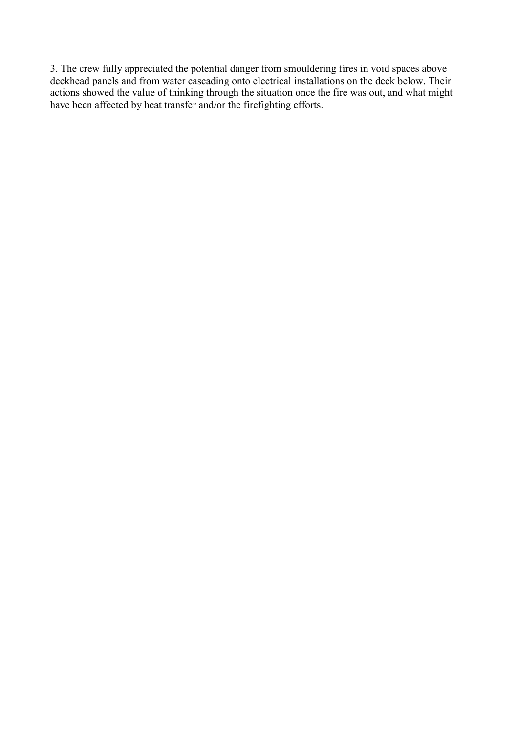3. The crew fully appreciated the potential danger from smouldering fires in void spaces above deckhead panels and from water cascading onto electrical installations on the deck below. Their actions showed the value of thinking through the situation once the fire was out, and what might have been affected by heat transfer and/or the firefighting efforts.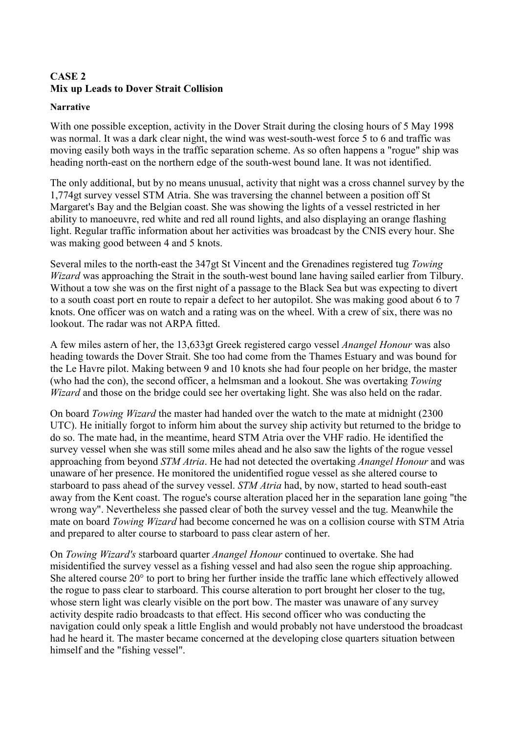# <span id="page-7-0"></span>**CASE 2 Mix up Leads to Dover Strait Collision**

#### **Narrative**

With one possible exception, activity in the Dover Strait during the closing hours of 5 May 1998 was normal. It was a dark clear night, the wind was west-south-west force 5 to 6 and traffic was moving easily both ways in the traffic separation scheme. As so often happens a "rogue" ship was heading north-east on the northern edge of the south-west bound lane. It was not identified.

The only additional, but by no means unusual, activity that night was a cross channel survey by the 1,774gt survey vessel STM Atria. She was traversing the channel between a position off St Margaret's Bay and the Belgian coast. She was showing the lights of a vessel restricted in her ability to manoeuvre, red white and red all round lights, and also displaying an orange flashing light. Regular traffic information about her activities was broadcast by the CNIS every hour. She was making good between 4 and 5 knots.

Several miles to the north-east the 347gt St Vincent and the Grenadines registered tug *Towing Wizard* was approaching the Strait in the south-west bound lane having sailed earlier from Tilbury. Without a tow she was on the first night of a passage to the Black Sea but was expecting to divert to a south coast port en route to repair a defect to her autopilot. She was making good about 6 to 7 knots. One officer was on watch and a rating was on the wheel. With a crew of six, there was no lookout. The radar was not ARPA fitted.

A few miles astern of her, the 13,633gt Greek registered cargo vessel *Anangel Honour* was also heading towards the Dover Strait. She too had come from the Thames Estuary and was bound for the Le Havre pilot. Making between 9 and 10 knots she had four people on her bridge, the master (who had the con), the second officer, a helmsman and a lookout. She was overtaking *Towing Wizard* and those on the bridge could see her overtaking light. She was also held on the radar.

On board *Towing Wizard* the master had handed over the watch to the mate at midnight (2300 UTC). He initially forgot to inform him about the survey ship activity but returned to the bridge to do so. The mate had, in the meantime, heard STM Atria over the VHF radio. He identified the survey vessel when she was still some miles ahead and he also saw the lights of the rogue vessel approaching from beyond *STM Atria*. He had not detected the overtaking *Anangel Honour* and was unaware of her presence. He monitored the unidentified rogue vessel as she altered course to starboard to pass ahead of the survey vessel. *STM Atria* had, by now, started to head south-east away from the Kent coast. The rogue's course alteration placed her in the separation lane going "the wrong way". Nevertheless she passed clear of both the survey vessel and the tug. Meanwhile the mate on board *Towing Wizard* had become concerned he was on a collision course with STM Atria and prepared to alter course to starboard to pass clear astern of her.

On *Towing Wizard's* starboard quarter *Anangel Honour* continued to overtake. She had misidentified the survey vessel as a fishing vessel and had also seen the rogue ship approaching. She altered course 20° to port to bring her further inside the traffic lane which effectively allowed the rogue to pass clear to starboard. This course alteration to port brought her closer to the tug, whose stern light was clearly visible on the port bow. The master was unaware of any survey activity despite radio broadcasts to that effect. His second officer who was conducting the navigation could only speak a little English and would probably not have understood the broadcast had he heard it. The master became concerned at the developing close quarters situation between himself and the "fishing vessel".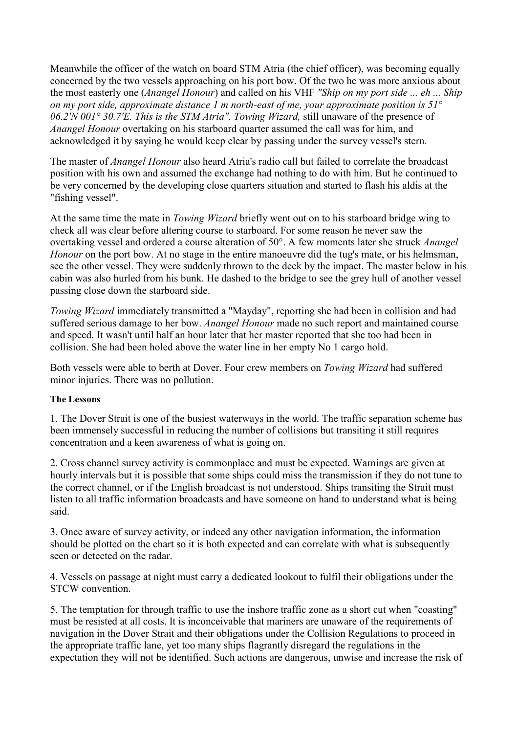Meanwhile the officer of the watch on board STM Atria (the chief officer), was becoming equally concerned by the two vessels approaching on his port bow. Of the two he was more anxious about the most easterly one (*Anangel Honour*) and called on his VHF *"Ship on my port side ... eh ... Ship on my port side, approximate distance 1 m north-east of me, your approximate position is 51° 06.2'N 001° 30.7'E. This is the STM Atria". Towing Wizard,* still unaware of the presence of *Anangel Honour* overtaking on his starboard quarter assumed the call was for him, and acknowledged it by saying he would keep clear by passing under the survey vessel's stern.

The master of *Anangel Honour* also heard Atria's radio call but failed to correlate the broadcast position with his own and assumed the exchange had nothing to do with him. But he continued to be very concerned by the developing close quarters situation and started to flash his aldis at the "fishing vessel".

At the same time the mate in *Towing Wizard* briefly went out on to his starboard bridge wing to check all was clear before altering course to starboard. For some reason he never saw the overtaking vessel and ordered a course alteration of 50°. A few moments later she struck *Anangel Honour* on the port bow. At no stage in the entire manoeuvre did the tug's mate, or his helmsman, see the other vessel. They were suddenly thrown to the deck by the impact. The master below in his cabin was also hurled from his bunk. He dashed to the bridge to see the grey hull of another vessel passing close down the starboard side.

*Towing Wizard* immediately transmitted a "Mayday", reporting she had been in collision and had suffered serious damage to her bow. *Anangel Honour* made no such report and maintained course and speed. It wasn't until half an hour later that her master reported that she too had been in collision. She had been holed above the water line in her empty No 1 cargo hold.

Both vessels were able to berth at Dover. Four crew members on *Towing Wizard* had suffered minor injuries. There was no pollution.

#### **The Lessons**

1. The Dover Strait is one of the busiest waterways in the world. The traffic separation scheme has been immensely successful in reducing the number of collisions but transiting it still requires concentration and a keen awareness of what is going on.

2. Cross channel survey activity is commonplace and must be expected. Warnings are given at hourly intervals but it is possible that some ships could miss the transmission if they do not tune to the correct channel, or if the English broadcast is not understood. Ships transiting the Strait must listen to all traffic information broadcasts and have someone on hand to understand what is being said.

3. Once aware of survey activity, or indeed any other navigation information, the information should be plotted on the chart so it is both expected and can correlate with what is subsequently seen or detected on the radar.

4. Vessels on passage at night must carry a dedicated lookout to fulfil their obligations under the STCW convention.

5. The temptation for through traffic to use the inshore traffic zone as a short cut when "coasting" must be resisted at all costs. It is inconceivable that mariners are unaware of the requirements of navigation in the Dover Strait and their obligations under the Collision Regulations to proceed in the appropriate traffic lane, yet too many ships flagrantly disregard the regulations in the expectation they will not be identified. Such actions are dangerous, unwise and increase the risk of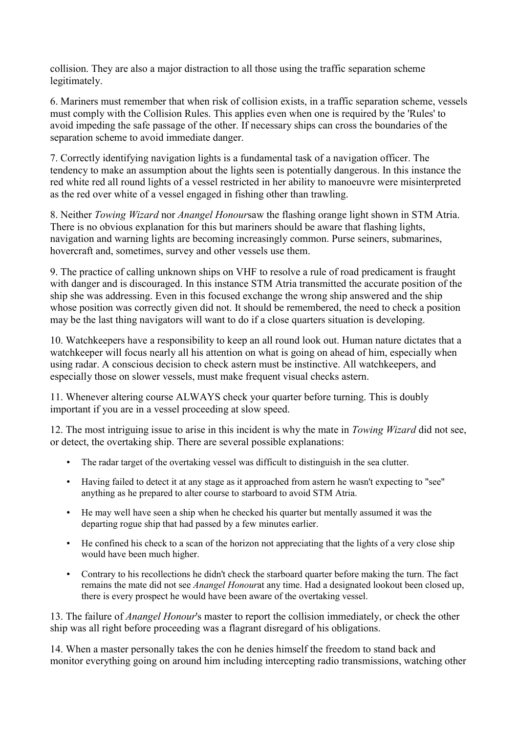collision. They are also a major distraction to all those using the traffic separation scheme legitimately.

6. Mariners must remember that when risk of collision exists, in a traffic separation scheme, vessels must comply with the Collision Rules. This applies even when one is required by the 'Rules' to avoid impeding the safe passage of the other. If necessary ships can cross the boundaries of the separation scheme to avoid immediate danger.

7. Correctly identifying navigation lights is a fundamental task of a navigation officer. The tendency to make an assumption about the lights seen is potentially dangerous. In this instance the red white red all round lights of a vessel restricted in her ability to manoeuvre were misinterpreted as the red over white of a vessel engaged in fishing other than trawling.

8. Neither *Towing Wizard* nor *Anangel Honour*saw the flashing orange light shown in STM Atria. There is no obvious explanation for this but mariners should be aware that flashing lights, navigation and warning lights are becoming increasingly common. Purse seiners, submarines, hovercraft and, sometimes, survey and other vessels use them.

9. The practice of calling unknown ships on VHF to resolve a rule of road predicament is fraught with danger and is discouraged. In this instance STM Atria transmitted the accurate position of the ship she was addressing. Even in this focused exchange the wrong ship answered and the ship whose position was correctly given did not. It should be remembered, the need to check a position may be the last thing navigators will want to do if a close quarters situation is developing.

10. Watchkeepers have a responsibility to keep an all round look out. Human nature dictates that a watchkeeper will focus nearly all his attention on what is going on ahead of him, especially when using radar. A conscious decision to check astern must be instinctive. All watchkeepers, and especially those on slower vessels, must make frequent visual checks astern.

11. Whenever altering course ALWAYS check your quarter before turning. This is doubly important if you are in a vessel proceeding at slow speed.

12. The most intriguing issue to arise in this incident is why the mate in *Towing Wizard* did not see, or detect, the overtaking ship. There are several possible explanations:

- The radar target of the overtaking vessel was difficult to distinguish in the sea clutter.
- Having failed to detect it at any stage as it approached from astern he wasn't expecting to "see" anything as he prepared to alter course to starboard to avoid STM Atria.
- He may well have seen a ship when he checked his quarter but mentally assumed it was the departing rogue ship that had passed by a few minutes earlier.
- He confined his check to a scan of the horizon not appreciating that the lights of a very close ship would have been much higher.
- Contrary to his recollections he didn't check the starboard quarter before making the turn. The fact remains the mate did not see *Anangel Honour*at any time. Had a designated lookout been closed up, there is every prospect he would have been aware of the overtaking vessel.

13. The failure of *Anangel Honour*'s master to report the collision immediately, or check the other ship was all right before proceeding was a flagrant disregard of his obligations.

14. When a master personally takes the con he denies himself the freedom to stand back and monitor everything going on around him including intercepting radio transmissions, watching other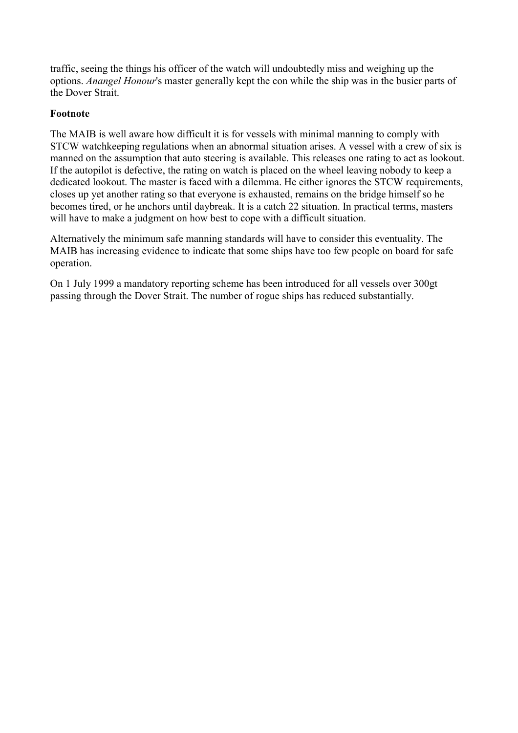traffic, seeing the things his officer of the watch will undoubtedly miss and weighing up the options. *Anangel Honour*'s master generally kept the con while the ship was in the busier parts of the Dover Strait

### **Footnote**

The MAIB is well aware how difficult it is for vessels with minimal manning to comply with STCW watchkeeping regulations when an abnormal situation arises. A vessel with a crew of six is manned on the assumption that auto steering is available. This releases one rating to act as lookout. If the autopilot is defective, the rating on watch is placed on the wheel leaving nobody to keep a dedicated lookout. The master is faced with a dilemma. He either ignores the STCW requirements, closes up yet another rating so that everyone is exhausted, remains on the bridge himself so he becomes tired, or he anchors until daybreak. It is a catch 22 situation. In practical terms, masters will have to make a judgment on how best to cope with a difficult situation.

Alternatively the minimum safe manning standards will have to consider this eventuality. The MAIB has increasing evidence to indicate that some ships have too few people on board for safe operation.

On 1 July 1999 a mandatory reporting scheme has been introduced for all vessels over 300gt passing through the Dover Strait. The number of rogue ships has reduced substantially.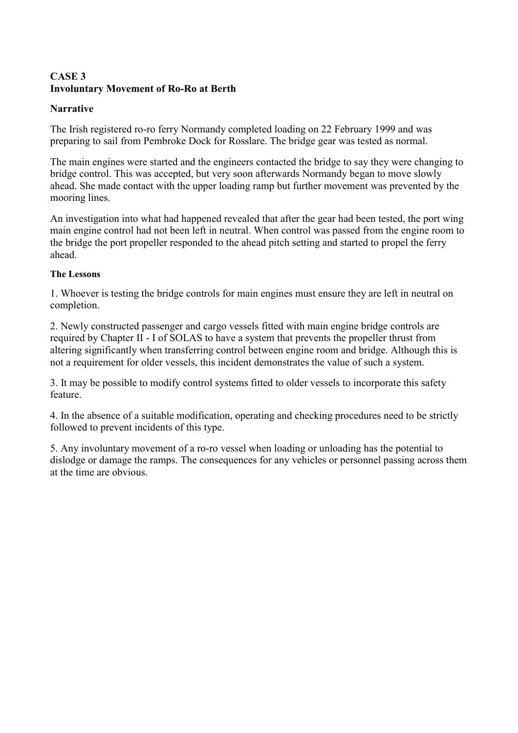### <span id="page-11-0"></span>**CASE 3 Involuntary Movement of Ro-Ro at Berth**

### **Narrative**

The Irish registered ro-ro ferry Normandy completed loading on 22 February 1999 and was preparing to sail from Pembroke Dock for Rosslare. The bridge gear was tested as normal.

The main engines were started and the engineers contacted the bridge to say they were changing to bridge control. This was accepted, but very soon afterwards Normandy began to move slowly ahead. She made contact with the upper loading ramp but further movement was prevented by the mooring lines.

An investigation into what had happened revealed that after the gear had been tested, the port wing main engine control had not been left in neutral. When control was passed from the engine room to the bridge the port propeller responded to the ahead pitch setting and started to propel the ferry ahead.

### **The Lessons**

1. Whoever is testing the bridge controls for main engines must ensure they are left in neutral on completion.

2. Newly constructed passenger and cargo vessels fitted with main engine bridge controls are required by Chapter II - I of SOLAS to have a system that prevents the propeller thrust from altering significantly when transferring control between engine room and bridge. Although this is not a requirement for older vessels, this incident demonstrates the value of such a system.

3. It may be possible to modify control systems fitted to older vessels to incorporate this safety feature.

4. In the absence of a suitable modification, operating and checking procedures need to be strictly followed to prevent incidents of this type.

5. Any involuntary movement of a ro-ro vessel when loading or unloading has the potential to dislodge or damage the ramps. The consequences for any vehicles or personnel passing across them at the time are obvious.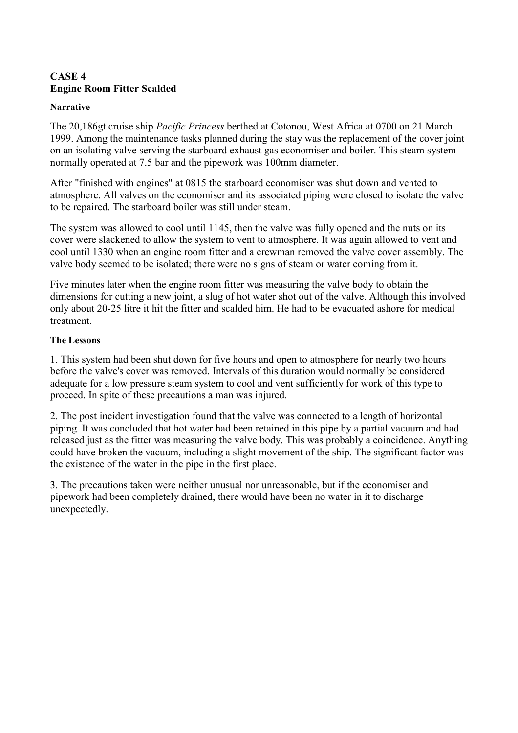# <span id="page-12-0"></span>**CASE 4 Engine Room Fitter Scalded**

#### **Narrative**

The 20,186gt cruise ship *Pacific Princess* berthed at Cotonou, West Africa at 0700 on 21 March 1999. Among the maintenance tasks planned during the stay was the replacement of the cover joint on an isolating valve serving the starboard exhaust gas economiser and boiler. This steam system normally operated at 7.5 bar and the pipework was 100mm diameter.

After "finished with engines" at 0815 the starboard economiser was shut down and vented to atmosphere. All valves on the economiser and its associated piping were closed to isolate the valve to be repaired. The starboard boiler was still under steam.

The system was allowed to cool until 1145, then the valve was fully opened and the nuts on its cover were slackened to allow the system to vent to atmosphere. It was again allowed to vent and cool until 1330 when an engine room fitter and a crewman removed the valve cover assembly. The valve body seemed to be isolated; there were no signs of steam or water coming from it.

Five minutes later when the engine room fitter was measuring the valve body to obtain the dimensions for cutting a new joint, a slug of hot water shot out of the valve. Although this involved only about 20-25 litre it hit the fitter and scalded him. He had to be evacuated ashore for medical treatment.

### **The Lessons**

1. This system had been shut down for five hours and open to atmosphere for nearly two hours before the valve's cover was removed. Intervals of this duration would normally be considered adequate for a low pressure steam system to cool and vent sufficiently for work of this type to proceed. In spite of these precautions a man was injured.

2. The post incident investigation found that the valve was connected to a length of horizontal piping. It was concluded that hot water had been retained in this pipe by a partial vacuum and had released just as the fitter was measuring the valve body. This was probably a coincidence. Anything could have broken the vacuum, including a slight movement of the ship. The significant factor was the existence of the water in the pipe in the first place.

3. The precautions taken were neither unusual nor unreasonable, but if the economiser and pipework had been completely drained, there would have been no water in it to discharge unexpectedly.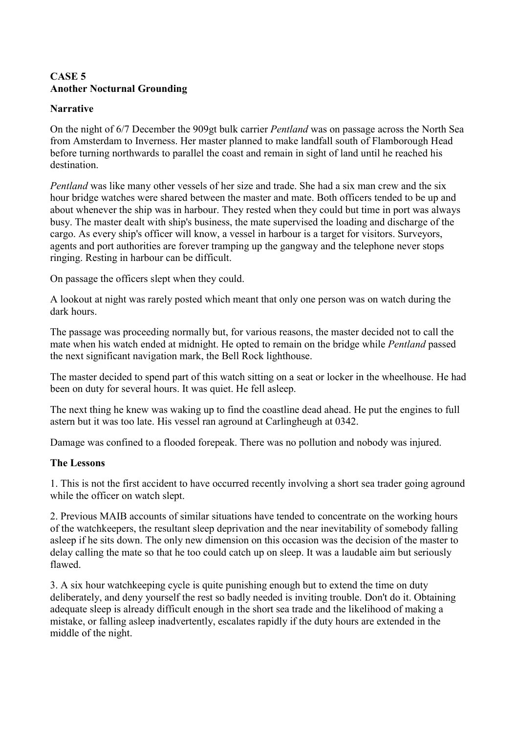### <span id="page-13-0"></span>**CASE 5 Another Nocturnal Grounding**

### **Narrative**

On the night of 6/7 December the 909gt bulk carrier *Pentland* was on passage across the North Sea from Amsterdam to Inverness. Her master planned to make landfall south of Flamborough Head before turning northwards to parallel the coast and remain in sight of land until he reached his destination.

*Pentland* was like many other vessels of her size and trade. She had a six man crew and the six hour bridge watches were shared between the master and mate. Both officers tended to be up and about whenever the ship was in harbour. They rested when they could but time in port was always busy. The master dealt with ship's business, the mate supervised the loading and discharge of the cargo. As every ship's officer will know, a vessel in harbour is a target for visitors. Surveyors, agents and port authorities are forever tramping up the gangway and the telephone never stops ringing. Resting in harbour can be difficult.

On passage the officers slept when they could.

A lookout at night was rarely posted which meant that only one person was on watch during the dark hours.

The passage was proceeding normally but, for various reasons, the master decided not to call the mate when his watch ended at midnight. He opted to remain on the bridge while *Pentland* passed the next significant navigation mark, the Bell Rock lighthouse.

The master decided to spend part of this watch sitting on a seat or locker in the wheelhouse. He had been on duty for several hours. It was quiet. He fell asleep.

The next thing he knew was waking up to find the coastline dead ahead. He put the engines to full astern but it was too late. His vessel ran aground at Carlingheugh at 0342.

Damage was confined to a flooded forepeak. There was no pollution and nobody was injured.

### **The Lessons**

1. This is not the first accident to have occurred recently involving a short sea trader going aground while the officer on watch slept.

2. Previous MAIB accounts of similar situations have tended to concentrate on the working hours of the watchkeepers, the resultant sleep deprivation and the near inevitability of somebody falling asleep if he sits down. The only new dimension on this occasion was the decision of the master to delay calling the mate so that he too could catch up on sleep. It was a laudable aim but seriously flawed.

3. A six hour watchkeeping cycle is quite punishing enough but to extend the time on duty deliberately, and deny yourself the rest so badly needed is inviting trouble. Don't do it. Obtaining adequate sleep is already difficult enough in the short sea trade and the likelihood of making a mistake, or falling asleep inadvertently, escalates rapidly if the duty hours are extended in the middle of the night.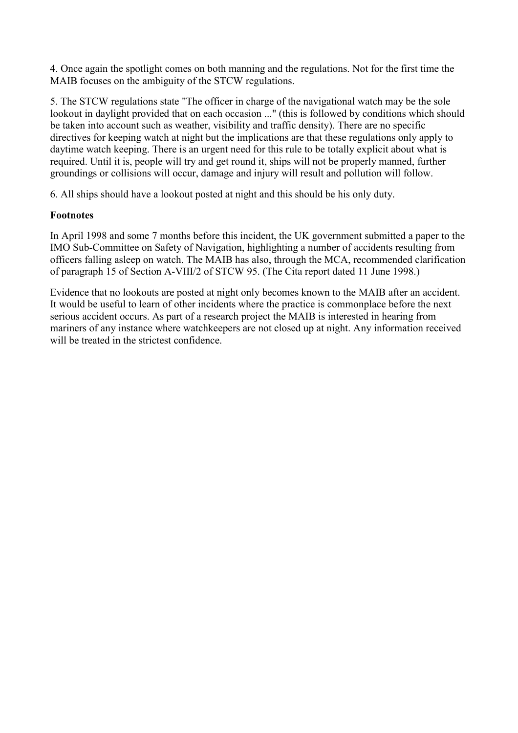4. Once again the spotlight comes on both manning and the regulations. Not for the first time the MAIB focuses on the ambiguity of the STCW regulations.

5. The STCW regulations state "The officer in charge of the navigational watch may be the sole lookout in daylight provided that on each occasion ..." (this is followed by conditions which should be taken into account such as weather, visibility and traffic density). There are no specific directives for keeping watch at night but the implications are that these regulations only apply to daytime watch keeping. There is an urgent need for this rule to be totally explicit about what is required. Until it is, people will try and get round it, ships will not be properly manned, further groundings or collisions will occur, damage and injury will result and pollution will follow.

6. All ships should have a lookout posted at night and this should be his only duty.

### **Footnotes**

In April 1998 and some 7 months before this incident, the UK government submitted a paper to the IMO Sub-Committee on Safety of Navigation, highlighting a number of accidents resulting from officers falling asleep on watch. The MAIB has also, through the MCA, recommended clarification of paragraph 15 of Section A-VIII/2 of STCW 95. (The Cita report dated 11 June 1998.)

Evidence that no lookouts are posted at night only becomes known to the MAIB after an accident. It would be useful to learn of other incidents where the practice is commonplace before the next serious accident occurs. As part of a research project the MAIB is interested in hearing from mariners of any instance where watchkeepers are not closed up at night. Any information received will be treated in the strictest confidence.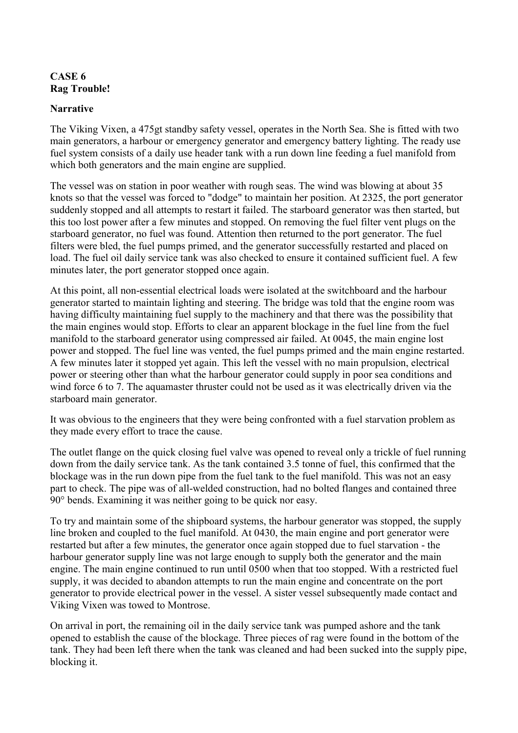### <span id="page-15-0"></span>**CASE 6 Rag Trouble!**

### **Narrative**

The Viking Vixen, a 475gt standby safety vessel, operates in the North Sea. She is fitted with two main generators, a harbour or emergency generator and emergency battery lighting. The ready use fuel system consists of a daily use header tank with a run down line feeding a fuel manifold from which both generators and the main engine are supplied.

The vessel was on station in poor weather with rough seas. The wind was blowing at about 35 knots so that the vessel was forced to "dodge" to maintain her position. At 2325, the port generator suddenly stopped and all attempts to restart it failed. The starboard generator was then started, but this too lost power after a few minutes and stopped. On removing the fuel filter vent plugs on the starboard generator, no fuel was found. Attention then returned to the port generator. The fuel filters were bled, the fuel pumps primed, and the generator successfully restarted and placed on load. The fuel oil daily service tank was also checked to ensure it contained sufficient fuel. A few minutes later, the port generator stopped once again.

At this point, all non-essential electrical loads were isolated at the switchboard and the harbour generator started to maintain lighting and steering. The bridge was told that the engine room was having difficulty maintaining fuel supply to the machinery and that there was the possibility that the main engines would stop. Efforts to clear an apparent blockage in the fuel line from the fuel manifold to the starboard generator using compressed air failed. At 0045, the main engine lost power and stopped. The fuel line was vented, the fuel pumps primed and the main engine restarted. A few minutes later it stopped yet again. This left the vessel with no main propulsion, electrical power or steering other than what the harbour generator could supply in poor sea conditions and wind force 6 to 7. The aquamaster thruster could not be used as it was electrically driven via the starboard main generator.

It was obvious to the engineers that they were being confronted with a fuel starvation problem as they made every effort to trace the cause.

The outlet flange on the quick closing fuel valve was opened to reveal only a trickle of fuel running down from the daily service tank. As the tank contained 3.5 tonne of fuel, this confirmed that the blockage was in the run down pipe from the fuel tank to the fuel manifold. This was not an easy part to check. The pipe was of all-welded construction, had no bolted flanges and contained three 90° bends. Examining it was neither going to be quick nor easy.

To try and maintain some of the shipboard systems, the harbour generator was stopped, the supply line broken and coupled to the fuel manifold. At 0430, the main engine and port generator were restarted but after a few minutes, the generator once again stopped due to fuel starvation - the harbour generator supply line was not large enough to supply both the generator and the main engine. The main engine continued to run until 0500 when that too stopped. With a restricted fuel supply, it was decided to abandon attempts to run the main engine and concentrate on the port generator to provide electrical power in the vessel. A sister vessel subsequently made contact and Viking Vixen was towed to Montrose.

On arrival in port, the remaining oil in the daily service tank was pumped ashore and the tank opened to establish the cause of the blockage. Three pieces of rag were found in the bottom of the tank. They had been left there when the tank was cleaned and had been sucked into the supply pipe, blocking it.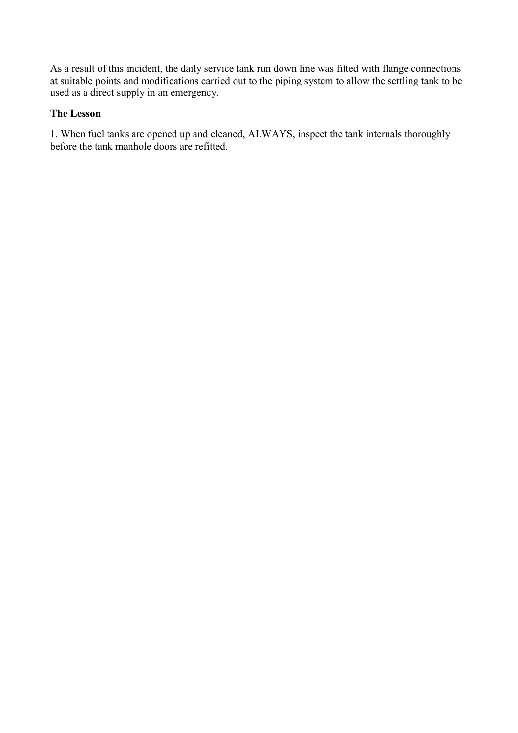As a result of this incident, the daily service tank run down line was fitted with flange connections at suitable points and modifications carried out to the piping system to allow the settling tank to be used as a direct supply in an emergency.

### **The Lesson**

1. When fuel tanks are opened up and cleaned, ALWAYS, inspect the tank internals thoroughly before the tank manhole doors are refitted.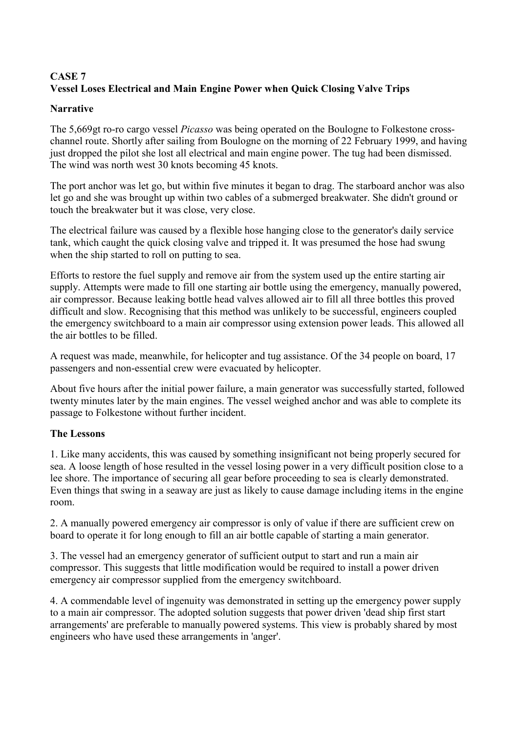# <span id="page-17-0"></span>**CASE 7 Vessel Loses Electrical and Main Engine Power when Quick Closing Valve Trips**

### **Narrative**

The 5,669gt ro-ro cargo vessel *Picasso* was being operated on the Boulogne to Folkestone crosschannel route. Shortly after sailing from Boulogne on the morning of 22 February 1999, and having just dropped the pilot she lost all electrical and main engine power. The tug had been dismissed. The wind was north west 30 knots becoming 45 knots.

The port anchor was let go, but within five minutes it began to drag. The starboard anchor was also let go and she was brought up within two cables of a submerged breakwater. She didn't ground or touch the breakwater but it was close, very close.

The electrical failure was caused by a flexible hose hanging close to the generator's daily service tank, which caught the quick closing valve and tripped it. It was presumed the hose had swung when the ship started to roll on putting to sea.

Efforts to restore the fuel supply and remove air from the system used up the entire starting air supply. Attempts were made to fill one starting air bottle using the emergency, manually powered, air compressor. Because leaking bottle head valves allowed air to fill all three bottles this proved difficult and slow. Recognising that this method was unlikely to be successful, engineers coupled the emergency switchboard to a main air compressor using extension power leads. This allowed all the air bottles to be filled.

A request was made, meanwhile, for helicopter and tug assistance. Of the 34 people on board, 17 passengers and non-essential crew were evacuated by helicopter.

About five hours after the initial power failure, a main generator was successfully started, followed twenty minutes later by the main engines. The vessel weighed anchor and was able to complete its passage to Folkestone without further incident.

# **The Lessons**

1. Like many accidents, this was caused by something insignificant not being properly secured for sea. A loose length of hose resulted in the vessel losing power in a very difficult position close to a lee shore. The importance of securing all gear before proceeding to sea is clearly demonstrated. Even things that swing in a seaway are just as likely to cause damage including items in the engine room.

2. A manually powered emergency air compressor is only of value if there are sufficient crew on board to operate it for long enough to fill an air bottle capable of starting a main generator.

3. The vessel had an emergency generator of sufficient output to start and run a main air compressor. This suggests that little modification would be required to install a power driven emergency air compressor supplied from the emergency switchboard.

4. A commendable level of ingenuity was demonstrated in setting up the emergency power supply to a main air compressor. The adopted solution suggests that power driven 'dead ship first start arrangements' are preferable to manually powered systems. This view is probably shared by most engineers who have used these arrangements in 'anger'.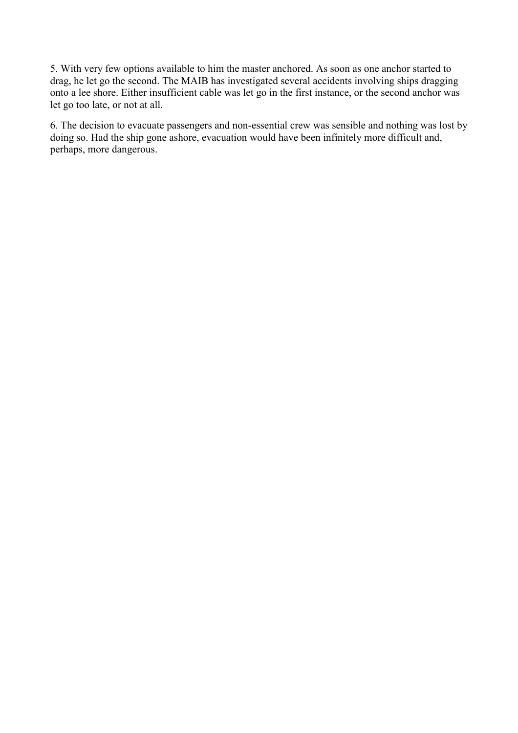5. With very few options available to him the master anchored. As soon as one anchor started to drag, he let go the second. The MAIB has investigated several accidents involving ships dragging onto a lee shore. Either insufficient cable was let go in the first instance, or the second anchor was let go too late, or not at all.

6. The decision to evacuate passengers and non-essential crew was sensible and nothing was lost by doing so. Had the ship gone ashore, evacuation would have been infinitely more difficult and, perhaps, more dangerous.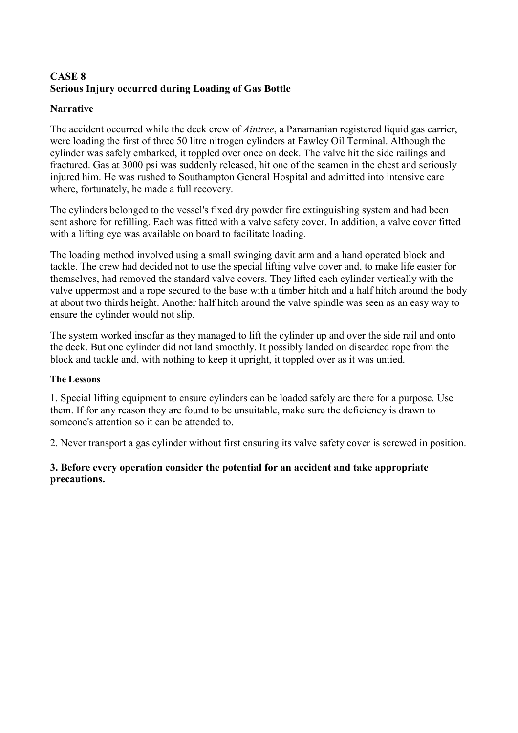# <span id="page-19-0"></span>**CASE 8 Serious Injury occurred during Loading of Gas Bottle**

### **Narrative**

The accident occurred while the deck crew of *Aintree*, a Panamanian registered liquid gas carrier, were loading the first of three 50 litre nitrogen cylinders at Fawley Oil Terminal. Although the cylinder was safely embarked, it toppled over once on deck. The valve hit the side railings and fractured. Gas at 3000 psi was suddenly released, hit one of the seamen in the chest and seriously injured him. He was rushed to Southampton General Hospital and admitted into intensive care where, fortunately, he made a full recovery.

The cylinders belonged to the vessel's fixed dry powder fire extinguishing system and had been sent ashore for refilling. Each was fitted with a valve safety cover. In addition, a valve cover fitted with a lifting eye was available on board to facilitate loading.

The loading method involved using a small swinging davit arm and a hand operated block and tackle. The crew had decided not to use the special lifting valve cover and, to make life easier for themselves, had removed the standard valve covers. They lifted each cylinder vertically with the valve uppermost and a rope secured to the base with a timber hitch and a half hitch around the body at about two thirds height. Another half hitch around the valve spindle was seen as an easy way to ensure the cylinder would not slip.

The system worked insofar as they managed to lift the cylinder up and over the side rail and onto the deck. But one cylinder did not land smoothly. It possibly landed on discarded rope from the block and tackle and, with nothing to keep it upright, it toppled over as it was untied.

### **The Lessons**

1. Special lifting equipment to ensure cylinders can be loaded safely are there for a purpose. Use them. If for any reason they are found to be unsuitable, make sure the deficiency is drawn to someone's attention so it can be attended to.

2. Never transport a gas cylinder without first ensuring its valve safety cover is screwed in position.

### **3. Before every operation consider the potential for an accident and take appropriate precautions.**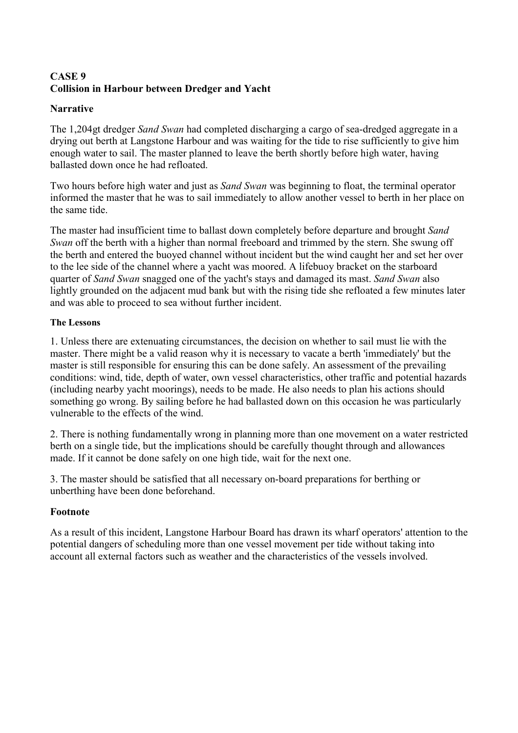# <span id="page-20-0"></span>**CASE 9 Collision in Harbour between Dredger and Yacht**

### **Narrative**

The 1,204gt dredger *Sand Swan* had completed discharging a cargo of sea-dredged aggregate in a drying out berth at Langstone Harbour and was waiting for the tide to rise sufficiently to give him enough water to sail. The master planned to leave the berth shortly before high water, having ballasted down once he had refloated.

Two hours before high water and just as *Sand Swan* was beginning to float, the terminal operator informed the master that he was to sail immediately to allow another vessel to berth in her place on the same tide.

The master had insufficient time to ballast down completely before departure and brought *Sand Swan* off the berth with a higher than normal freeboard and trimmed by the stern. She swung off the berth and entered the buoyed channel without incident but the wind caught her and set her over to the lee side of the channel where a yacht was moored. A lifebuoy bracket on the starboard quarter of *Sand Swan* snagged one of the yacht's stays and damaged its mast. *Sand Swan* also lightly grounded on the adjacent mud bank but with the rising tide she refloated a few minutes later and was able to proceed to sea without further incident.

### **The Lessons**

1. Unless there are extenuating circumstances, the decision on whether to sail must lie with the master. There might be a valid reason why it is necessary to vacate a berth 'immediately' but the master is still responsible for ensuring this can be done safely. An assessment of the prevailing conditions: wind, tide, depth of water, own vessel characteristics, other traffic and potential hazards (including nearby yacht moorings), needs to be made. He also needs to plan his actions should something go wrong. By sailing before he had ballasted down on this occasion he was particularly vulnerable to the effects of the wind.

2. There is nothing fundamentally wrong in planning more than one movement on a water restricted berth on a single tide, but the implications should be carefully thought through and allowances made. If it cannot be done safely on one high tide, wait for the next one.

3. The master should be satisfied that all necessary on-board preparations for berthing or unberthing have been done beforehand.

### **Footnote**

As a result of this incident, Langstone Harbour Board has drawn its wharf operators' attention to the potential dangers of scheduling more than one vessel movement per tide without taking into account all external factors such as weather and the characteristics of the vessels involved.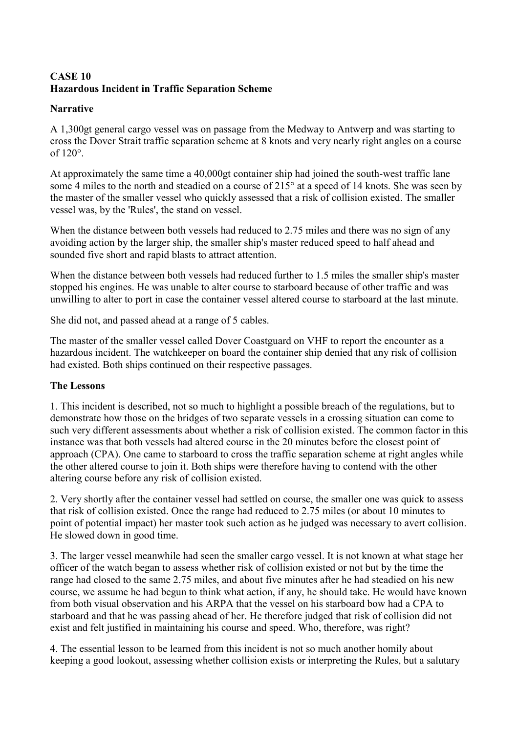# <span id="page-21-0"></span>**CASE 10 Hazardous Incident in Traffic Separation Scheme**

### **Narrative**

A 1,300gt general cargo vessel was on passage from the Medway to Antwerp and was starting to cross the Dover Strait traffic separation scheme at 8 knots and very nearly right angles on a course of 120°.

At approximately the same time a 40,000gt container ship had joined the south-west traffic lane some 4 miles to the north and steadied on a course of 215° at a speed of 14 knots. She was seen by the master of the smaller vessel who quickly assessed that a risk of collision existed. The smaller vessel was, by the 'Rules', the stand on vessel.

When the distance between both vessels had reduced to 2.75 miles and there was no sign of any avoiding action by the larger ship, the smaller ship's master reduced speed to half ahead and sounded five short and rapid blasts to attract attention.

When the distance between both vessels had reduced further to 1.5 miles the smaller ship's master stopped his engines. He was unable to alter course to starboard because of other traffic and was unwilling to alter to port in case the container vessel altered course to starboard at the last minute.

She did not, and passed ahead at a range of 5 cables.

The master of the smaller vessel called Dover Coastguard on VHF to report the encounter as a hazardous incident. The watchkeeper on board the container ship denied that any risk of collision had existed. Both ships continued on their respective passages.

# **The Lessons**

1. This incident is described, not so much to highlight a possible breach of the regulations, but to demonstrate how those on the bridges of two separate vessels in a crossing situation can come to such very different assessments about whether a risk of collision existed. The common factor in this instance was that both vessels had altered course in the 20 minutes before the closest point of approach (CPA). One came to starboard to cross the traffic separation scheme at right angles while the other altered course to join it. Both ships were therefore having to contend with the other altering course before any risk of collision existed.

2. Very shortly after the container vessel had settled on course, the smaller one was quick to assess that risk of collision existed. Once the range had reduced to 2.75 miles (or about 10 minutes to point of potential impact) her master took such action as he judged was necessary to avert collision. He slowed down in good time.

3. The larger vessel meanwhile had seen the smaller cargo vessel. It is not known at what stage her officer of the watch began to assess whether risk of collision existed or not but by the time the range had closed to the same 2.75 miles, and about five minutes after he had steadied on his new course, we assume he had begun to think what action, if any, he should take. He would have known from both visual observation and his ARPA that the vessel on his starboard bow had a CPA to starboard and that he was passing ahead of her. He therefore judged that risk of collision did not exist and felt justified in maintaining his course and speed. Who, therefore, was right?

4. The essential lesson to be learned from this incident is not so much another homily about keeping a good lookout, assessing whether collision exists or interpreting the Rules, but a salutary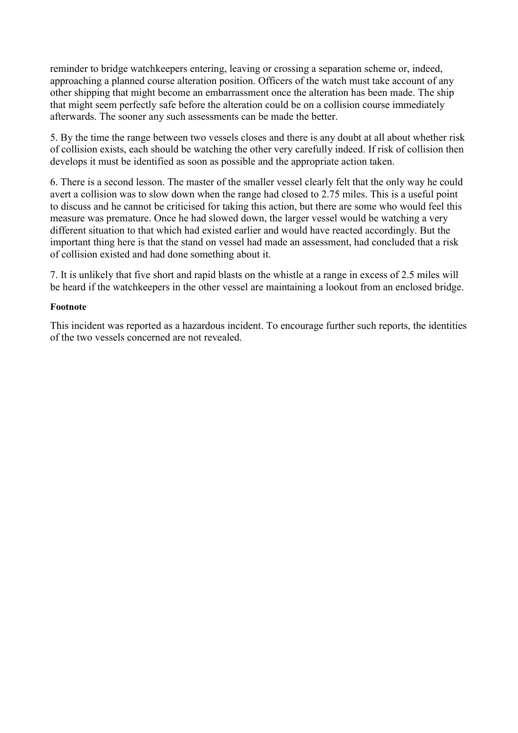reminder to bridge watchkeepers entering, leaving or crossing a separation scheme or, indeed, approaching a planned course alteration position. Officers of the watch must take account of any other shipping that might become an embarrassment once the alteration has been made. The ship that might seem perfectly safe before the alteration could be on a collision course immediately afterwards. The sooner any such assessments can be made the better.

5. By the time the range between two vessels closes and there is any doubt at all about whether risk of collision exists, each should be watching the other very carefully indeed. If risk of collision then develops it must be identified as soon as possible and the appropriate action taken.

6. There is a second lesson. The master of the smaller vessel clearly felt that the only way he could avert a collision was to slow down when the range had closed to 2.75 miles. This is a useful point to discuss and he cannot be criticised for taking this action, but there are some who would feel this measure was premature. Once he had slowed down, the larger vessel would be watching a very different situation to that which had existed earlier and would have reacted accordingly. But the important thing here is that the stand on vessel had made an assessment, had concluded that a risk of collision existed and had done something about it.

7. It is unlikely that five short and rapid blasts on the whistle at a range in excess of 2.5 miles will be heard if the watchkeepers in the other vessel are maintaining a lookout from an enclosed bridge.

### **Footnote**

This incident was reported as a hazardous incident. To encourage further such reports, the identities of the two vessels concerned are not revealed.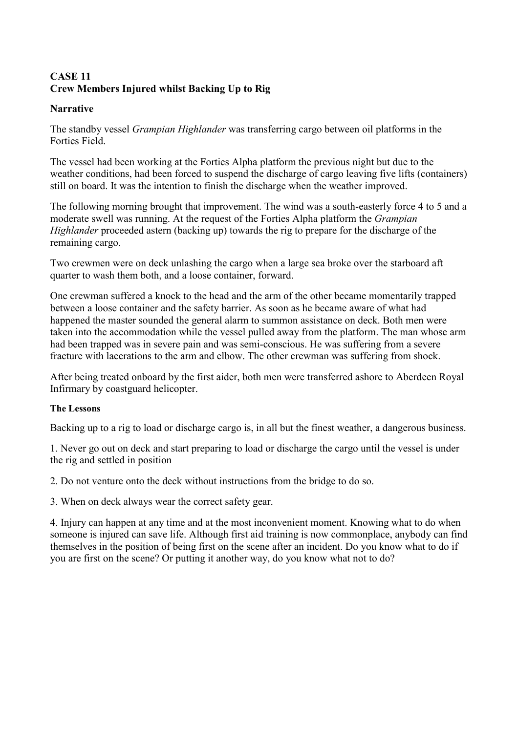# <span id="page-23-0"></span>**CASE 11 Crew Members Injured whilst Backing Up to Rig**

### **Narrative**

The standby vessel *Grampian Highlander* was transferring cargo between oil platforms in the Forties Field.

The vessel had been working at the Forties Alpha platform the previous night but due to the weather conditions, had been forced to suspend the discharge of cargo leaving five lifts (containers) still on board. It was the intention to finish the discharge when the weather improved.

The following morning brought that improvement. The wind was a south-easterly force 4 to 5 and a moderate swell was running. At the request of the Forties Alpha platform the *Grampian Highlander* proceeded astern (backing up) towards the rig to prepare for the discharge of the remaining cargo.

Two crewmen were on deck unlashing the cargo when a large sea broke over the starboard aft quarter to wash them both, and a loose container, forward.

One crewman suffered a knock to the head and the arm of the other became momentarily trapped between a loose container and the safety barrier. As soon as he became aware of what had happened the master sounded the general alarm to summon assistance on deck. Both men were taken into the accommodation while the vessel pulled away from the platform. The man whose arm had been trapped was in severe pain and was semi-conscious. He was suffering from a severe fracture with lacerations to the arm and elbow. The other crewman was suffering from shock.

After being treated onboard by the first aider, both men were transferred ashore to Aberdeen Royal Infirmary by coastguard helicopter.

#### **The Lessons**

Backing up to a rig to load or discharge cargo is, in all but the finest weather, a dangerous business.

1. Never go out on deck and start preparing to load or discharge the cargo until the vessel is under the rig and settled in position

2. Do not venture onto the deck without instructions from the bridge to do so.

3. When on deck always wear the correct safety gear.

4. Injury can happen at any time and at the most inconvenient moment. Knowing what to do when someone is injured can save life. Although first aid training is now commonplace, anybody can find themselves in the position of being first on the scene after an incident. Do you know what to do if you are first on the scene? Or putting it another way, do you know what not to do?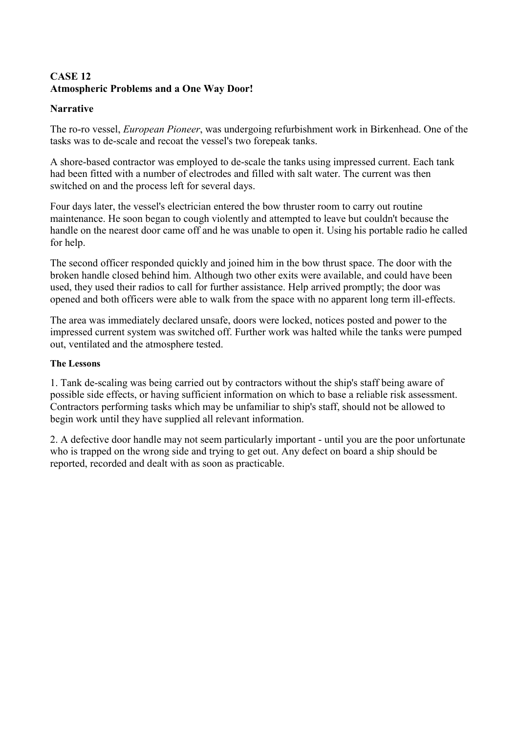# <span id="page-24-0"></span>**CASE 12 Atmospheric Problems and a One Way Door!**

### **Narrative**

The ro-ro vessel, *European Pioneer*, was undergoing refurbishment work in Birkenhead. One of the tasks was to de-scale and recoat the vessel's two forepeak tanks.

A shore-based contractor was employed to de-scale the tanks using impressed current. Each tank had been fitted with a number of electrodes and filled with salt water. The current was then switched on and the process left for several days.

Four days later, the vessel's electrician entered the bow thruster room to carry out routine maintenance. He soon began to cough violently and attempted to leave but couldn't because the handle on the nearest door came off and he was unable to open it. Using his portable radio he called for help.

The second officer responded quickly and joined him in the bow thrust space. The door with the broken handle closed behind him. Although two other exits were available, and could have been used, they used their radios to call for further assistance. Help arrived promptly; the door was opened and both officers were able to walk from the space with no apparent long term ill-effects.

The area was immediately declared unsafe, doors were locked, notices posted and power to the impressed current system was switched off. Further work was halted while the tanks were pumped out, ventilated and the atmosphere tested.

### **The Lessons**

1. Tank de-scaling was being carried out by contractors without the ship's staff being aware of possible side effects, or having sufficient information on which to base a reliable risk assessment. Contractors performing tasks which may be unfamiliar to ship's staff, should not be allowed to begin work until they have supplied all relevant information.

2. A defective door handle may not seem particularly important - until you are the poor unfortunate who is trapped on the wrong side and trying to get out. Any defect on board a ship should be reported, recorded and dealt with as soon as practicable.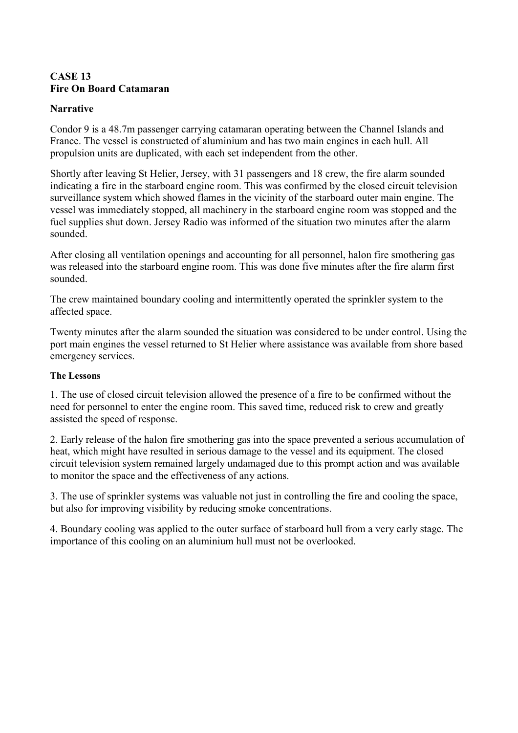### <span id="page-25-0"></span>**CASE 13 Fire On Board Catamaran**

### **Narrative**

Condor 9 is a 48.7m passenger carrying catamaran operating between the Channel Islands and France. The vessel is constructed of aluminium and has two main engines in each hull. All propulsion units are duplicated, with each set independent from the other.

Shortly after leaving St Helier, Jersey, with 31 passengers and 18 crew, the fire alarm sounded indicating a fire in the starboard engine room. This was confirmed by the closed circuit television surveillance system which showed flames in the vicinity of the starboard outer main engine. The vessel was immediately stopped, all machinery in the starboard engine room was stopped and the fuel supplies shut down. Jersey Radio was informed of the situation two minutes after the alarm sounded.

After closing all ventilation openings and accounting for all personnel, halon fire smothering gas was released into the starboard engine room. This was done five minutes after the fire alarm first sounded.

The crew maintained boundary cooling and intermittently operated the sprinkler system to the affected space.

Twenty minutes after the alarm sounded the situation was considered to be under control. Using the port main engines the vessel returned to St Helier where assistance was available from shore based emergency services.

### **The Lessons**

1. The use of closed circuit television allowed the presence of a fire to be confirmed without the need for personnel to enter the engine room. This saved time, reduced risk to crew and greatly assisted the speed of response.

2. Early release of the halon fire smothering gas into the space prevented a serious accumulation of heat, which might have resulted in serious damage to the vessel and its equipment. The closed circuit television system remained largely undamaged due to this prompt action and was available to monitor the space and the effectiveness of any actions.

3. The use of sprinkler systems was valuable not just in controlling the fire and cooling the space, but also for improving visibility by reducing smoke concentrations.

4. Boundary cooling was applied to the outer surface of starboard hull from a very early stage. The importance of this cooling on an aluminium hull must not be overlooked.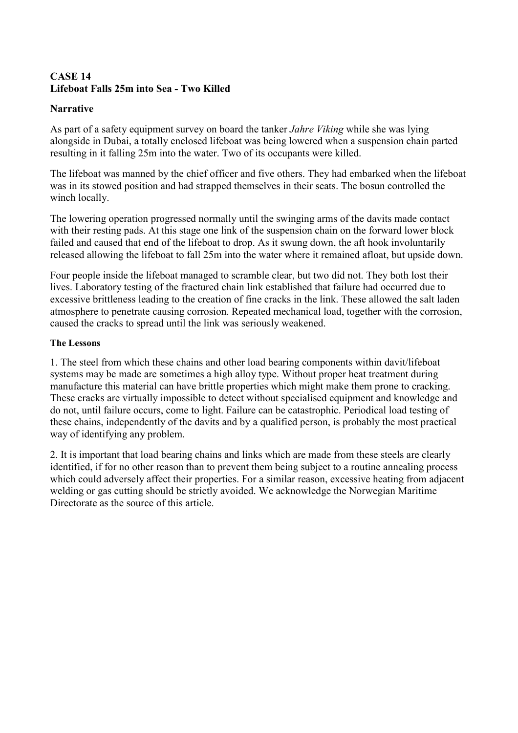### <span id="page-26-0"></span>**CASE 14 Lifeboat Falls 25m into Sea - Two Killed**

### **Narrative**

As part of a safety equipment survey on board the tanker *Jahre Viking* while she was lying alongside in Dubai, a totally enclosed lifeboat was being lowered when a suspension chain parted resulting in it falling 25m into the water. Two of its occupants were killed.

The lifeboat was manned by the chief officer and five others. They had embarked when the lifeboat was in its stowed position and had strapped themselves in their seats. The bosun controlled the winch locally.

The lowering operation progressed normally until the swinging arms of the davits made contact with their resting pads. At this stage one link of the suspension chain on the forward lower block failed and caused that end of the lifeboat to drop. As it swung down, the aft hook involuntarily released allowing the lifeboat to fall 25m into the water where it remained afloat, but upside down.

Four people inside the lifeboat managed to scramble clear, but two did not. They both lost their lives. Laboratory testing of the fractured chain link established that failure had occurred due to excessive brittleness leading to the creation of fine cracks in the link. These allowed the salt laden atmosphere to penetrate causing corrosion. Repeated mechanical load, together with the corrosion, caused the cracks to spread until the link was seriously weakened.

### **The Lessons**

1. The steel from which these chains and other load bearing components within davit/lifeboat systems may be made are sometimes a high alloy type. Without proper heat treatment during manufacture this material can have brittle properties which might make them prone to cracking. These cracks are virtually impossible to detect without specialised equipment and knowledge and do not, until failure occurs, come to light. Failure can be catastrophic. Periodical load testing of these chains, independently of the davits and by a qualified person, is probably the most practical way of identifying any problem.

2. It is important that load bearing chains and links which are made from these steels are clearly identified, if for no other reason than to prevent them being subject to a routine annealing process which could adversely affect their properties. For a similar reason, excessive heating from adjacent welding or gas cutting should be strictly avoided. We acknowledge the Norwegian Maritime Directorate as the source of this article.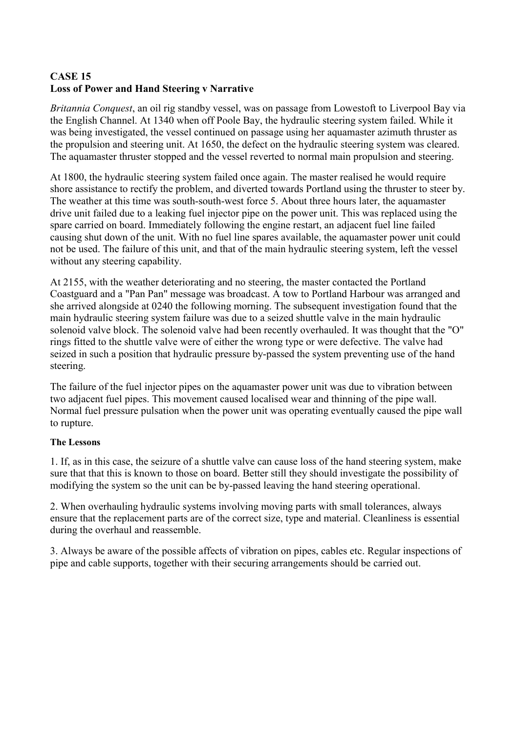# <span id="page-27-0"></span>**CASE 15 Loss of Power and Hand Steering v Narrative**

*Britannia Conquest*, an oil rig standby vessel, was on passage from Lowestoft to Liverpool Bay via the English Channel. At 1340 when off Poole Bay, the hydraulic steering system failed. While it was being investigated, the vessel continued on passage using her aquamaster azimuth thruster as the propulsion and steering unit. At 1650, the defect on the hydraulic steering system was cleared. The aquamaster thruster stopped and the vessel reverted to normal main propulsion and steering.

At 1800, the hydraulic steering system failed once again. The master realised he would require shore assistance to rectify the problem, and diverted towards Portland using the thruster to steer by. The weather at this time was south-south-west force 5. About three hours later, the aquamaster drive unit failed due to a leaking fuel injector pipe on the power unit. This was replaced using the spare carried on board. Immediately following the engine restart, an adjacent fuel line failed causing shut down of the unit. With no fuel line spares available, the aquamaster power unit could not be used. The failure of this unit, and that of the main hydraulic steering system, left the vessel without any steering capability.

At 2155, with the weather deteriorating and no steering, the master contacted the Portland Coastguard and a "Pan Pan" message was broadcast. A tow to Portland Harbour was arranged and she arrived alongside at 0240 the following morning. The subsequent investigation found that the main hydraulic steering system failure was due to a seized shuttle valve in the main hydraulic solenoid valve block. The solenoid valve had been recently overhauled. It was thought that the "O" rings fitted to the shuttle valve were of either the wrong type or were defective. The valve had seized in such a position that hydraulic pressure by-passed the system preventing use of the hand steering.

The failure of the fuel injector pipes on the aquamaster power unit was due to vibration between two adjacent fuel pipes. This movement caused localised wear and thinning of the pipe wall. Normal fuel pressure pulsation when the power unit was operating eventually caused the pipe wall to rupture.

### **The Lessons**

1. If, as in this case, the seizure of a shuttle valve can cause loss of the hand steering system, make sure that that this is known to those on board. Better still they should investigate the possibility of modifying the system so the unit can be by-passed leaving the hand steering operational.

2. When overhauling hydraulic systems involving moving parts with small tolerances, always ensure that the replacement parts are of the correct size, type and material. Cleanliness is essential during the overhaul and reassemble.

3. Always be aware of the possible affects of vibration on pipes, cables etc. Regular inspections of pipe and cable supports, together with their securing arrangements should be carried out.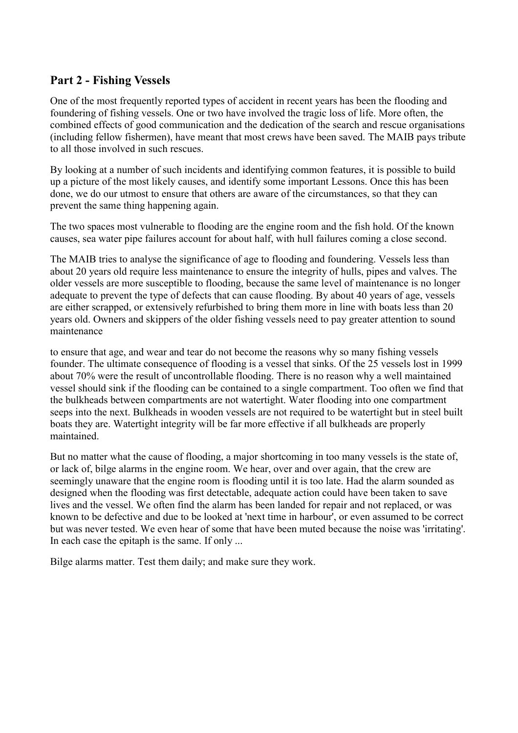# <span id="page-28-0"></span>**Part 2 - Fishing Vessels**

One of the most frequently reported types of accident in recent years has been the flooding and foundering of fishing vessels. One or two have involved the tragic loss of life. More often, the combined effects of good communication and the dedication of the search and rescue organisations (including fellow fishermen), have meant that most crews have been saved. The MAIB pays tribute to all those involved in such rescues.

By looking at a number of such incidents and identifying common features, it is possible to build up a picture of the most likely causes, and identify some important Lessons. Once this has been done, we do our utmost to ensure that others are aware of the circumstances, so that they can prevent the same thing happening again.

The two spaces most vulnerable to flooding are the engine room and the fish hold. Of the known causes, sea water pipe failures account for about half, with hull failures coming a close second.

The MAIB tries to analyse the significance of age to flooding and foundering. Vessels less than about 20 years old require less maintenance to ensure the integrity of hulls, pipes and valves. The older vessels are more susceptible to flooding, because the same level of maintenance is no longer adequate to prevent the type of defects that can cause flooding. By about 40 years of age, vessels are either scrapped, or extensively refurbished to bring them more in line with boats less than 20 years old. Owners and skippers of the older fishing vessels need to pay greater attention to sound maintenance

to ensure that age, and wear and tear do not become the reasons why so many fishing vessels founder. The ultimate consequence of flooding is a vessel that sinks. Of the 25 vessels lost in 1999 about 70% were the result of uncontrollable flooding. There is no reason why a well maintained vessel should sink if the flooding can be contained to a single compartment. Too often we find that the bulkheads between compartments are not watertight. Water flooding into one compartment seeps into the next. Bulkheads in wooden vessels are not required to be watertight but in steel built boats they are. Watertight integrity will be far more effective if all bulkheads are properly maintained.

But no matter what the cause of flooding, a major shortcoming in too many vessels is the state of, or lack of, bilge alarms in the engine room. We hear, over and over again, that the crew are seemingly unaware that the engine room is flooding until it is too late. Had the alarm sounded as designed when the flooding was first detectable, adequate action could have been taken to save lives and the vessel. We often find the alarm has been landed for repair and not replaced, or was known to be defective and due to be looked at 'next time in harbour', or even assumed to be correct but was never tested. We even hear of some that have been muted because the noise was 'irritating'. In each case the epitaph is the same. If only ...

Bilge alarms matter. Test them daily; and make sure they work.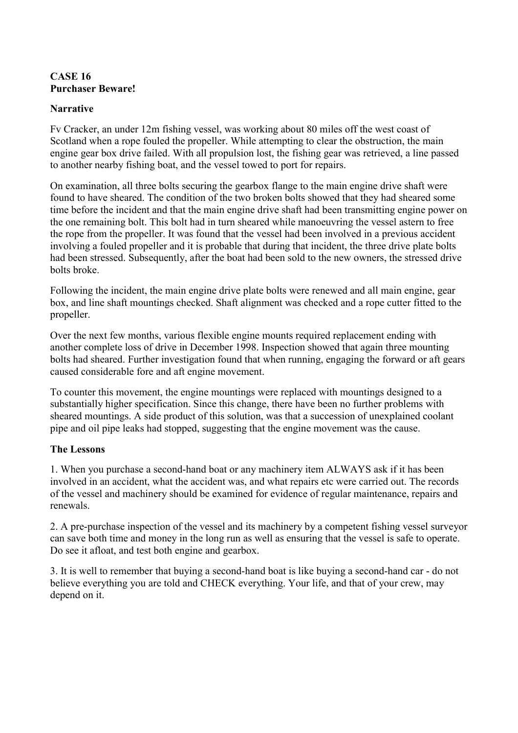### <span id="page-29-0"></span>**CASE 16 Purchaser Beware!**

### **Narrative**

Fv Cracker, an under 12m fishing vessel, was working about 80 miles off the west coast of Scotland when a rope fouled the propeller. While attempting to clear the obstruction, the main engine gear box drive failed. With all propulsion lost, the fishing gear was retrieved, a line passed to another nearby fishing boat, and the vessel towed to port for repairs.

On examination, all three bolts securing the gearbox flange to the main engine drive shaft were found to have sheared. The condition of the two broken bolts showed that they had sheared some time before the incident and that the main engine drive shaft had been transmitting engine power on the one remaining bolt. This bolt had in turn sheared while manoeuvring the vessel astern to free the rope from the propeller. It was found that the vessel had been involved in a previous accident involving a fouled propeller and it is probable that during that incident, the three drive plate bolts had been stressed. Subsequently, after the boat had been sold to the new owners, the stressed drive bolts broke.

Following the incident, the main engine drive plate bolts were renewed and all main engine, gear box, and line shaft mountings checked. Shaft alignment was checked and a rope cutter fitted to the propeller.

Over the next few months, various flexible engine mounts required replacement ending with another complete loss of drive in December 1998. Inspection showed that again three mounting bolts had sheared. Further investigation found that when running, engaging the forward or aft gears caused considerable fore and aft engine movement.

To counter this movement, the engine mountings were replaced with mountings designed to a substantially higher specification. Since this change, there have been no further problems with sheared mountings. A side product of this solution, was that a succession of unexplained coolant pipe and oil pipe leaks had stopped, suggesting that the engine movement was the cause.

### **The Lessons**

1. When you purchase a second-hand boat or any machinery item ALWAYS ask if it has been involved in an accident, what the accident was, and what repairs etc were carried out. The records of the vessel and machinery should be examined for evidence of regular maintenance, repairs and renewals.

2. A pre-purchase inspection of the vessel and its machinery by a competent fishing vessel surveyor can save both time and money in the long run as well as ensuring that the vessel is safe to operate. Do see it afloat, and test both engine and gearbox.

3. It is well to remember that buying a second-hand boat is like buying a second-hand car - do not believe everything you are told and CHECK everything. Your life, and that of your crew, may depend on it.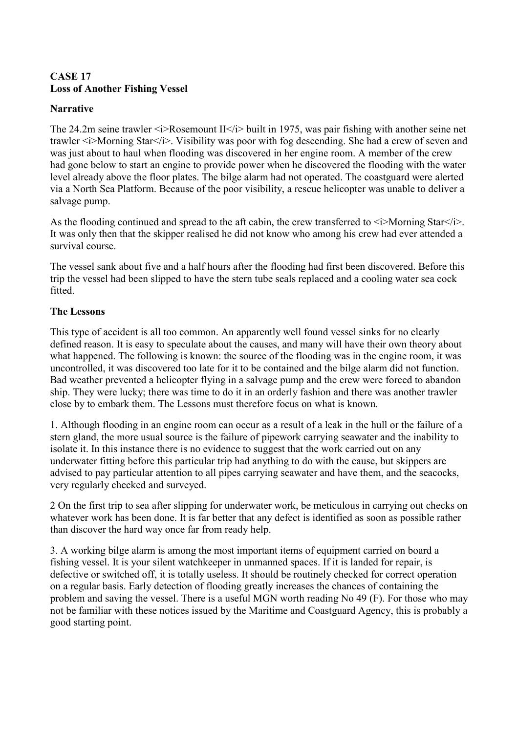### <span id="page-30-0"></span>**CASE 17 Loss of Another Fishing Vessel**

### **Narrative**

The 24.2m seine trawler  $\langle i \rangle$ Rosemount II $\langle i \rangle$  built in 1975, was pair fishing with another seine net trawler  $\leq i$ >Morning Star $\leq i$ >. Visibility was poor with fog descending. She had a crew of seven and was just about to haul when flooding was discovered in her engine room. A member of the crew had gone below to start an engine to provide power when he discovered the flooding with the water level already above the floor plates. The bilge alarm had not operated. The coastguard were alerted via a North Sea Platform. Because of the poor visibility, a rescue helicopter was unable to deliver a salvage pump.

As the flooding continued and spread to the aft cabin, the crew transferred to  $\langle i \rangle$ Morning Star $\langle i \rangle$ . It was only then that the skipper realised he did not know who among his crew had ever attended a survival course.

The vessel sank about five and a half hours after the flooding had first been discovered. Before this trip the vessel had been slipped to have the stern tube seals replaced and a cooling water sea cock fitted.

### **The Lessons**

This type of accident is all too common. An apparently well found vessel sinks for no clearly defined reason. It is easy to speculate about the causes, and many will have their own theory about what happened. The following is known: the source of the flooding was in the engine room, it was uncontrolled, it was discovered too late for it to be contained and the bilge alarm did not function. Bad weather prevented a helicopter flying in a salvage pump and the crew were forced to abandon ship. They were lucky; there was time to do it in an orderly fashion and there was another trawler close by to embark them. The Lessons must therefore focus on what is known.

1. Although flooding in an engine room can occur as a result of a leak in the hull or the failure of a stern gland, the more usual source is the failure of pipework carrying seawater and the inability to isolate it. In this instance there is no evidence to suggest that the work carried out on any underwater fitting before this particular trip had anything to do with the cause, but skippers are advised to pay particular attention to all pipes carrying seawater and have them, and the seacocks, very regularly checked and surveyed.

2 On the first trip to sea after slipping for underwater work, be meticulous in carrying out checks on whatever work has been done. It is far better that any defect is identified as soon as possible rather than discover the hard way once far from ready help.

3. A working bilge alarm is among the most important items of equipment carried on board a fishing vessel. It is your silent watchkeeper in unmanned spaces. If it is landed for repair, is defective or switched off, it is totally useless. It should be routinely checked for correct operation on a regular basis. Early detection of flooding greatly increases the chances of containing the problem and saving the vessel. There is a useful MGN worth reading No 49 (F). For those who may not be familiar with these notices issued by the Maritime and Coastguard Agency, this is probably a good starting point.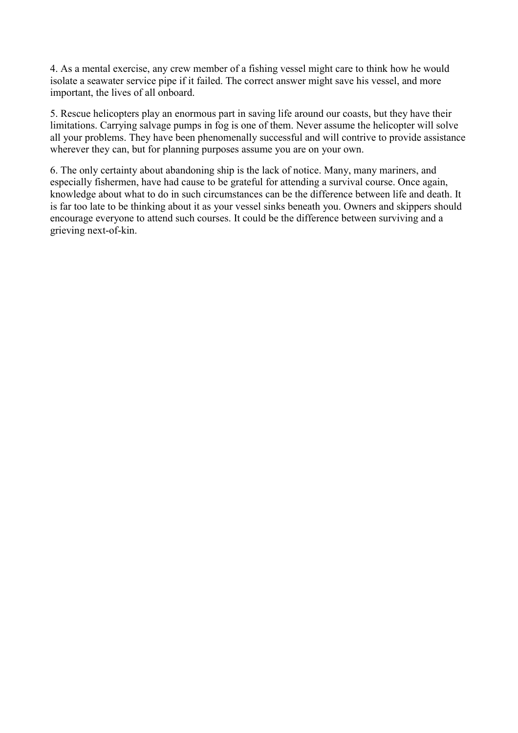4. As a mental exercise, any crew member of a fishing vessel might care to think how he would isolate a seawater service pipe if it failed. The correct answer might save his vessel, and more important, the lives of all onboard.

5. Rescue helicopters play an enormous part in saving life around our coasts, but they have their limitations. Carrying salvage pumps in fog is one of them. Never assume the helicopter will solve all your problems. They have been phenomenally successful and will contrive to provide assistance wherever they can, but for planning purposes assume you are on your own.

6. The only certainty about abandoning ship is the lack of notice. Many, many mariners, and especially fishermen, have had cause to be grateful for attending a survival course. Once again, knowledge about what to do in such circumstances can be the difference between life and death. It is far too late to be thinking about it as your vessel sinks beneath you. Owners and skippers should encourage everyone to attend such courses. It could be the difference between surviving and a grieving next-of-kin.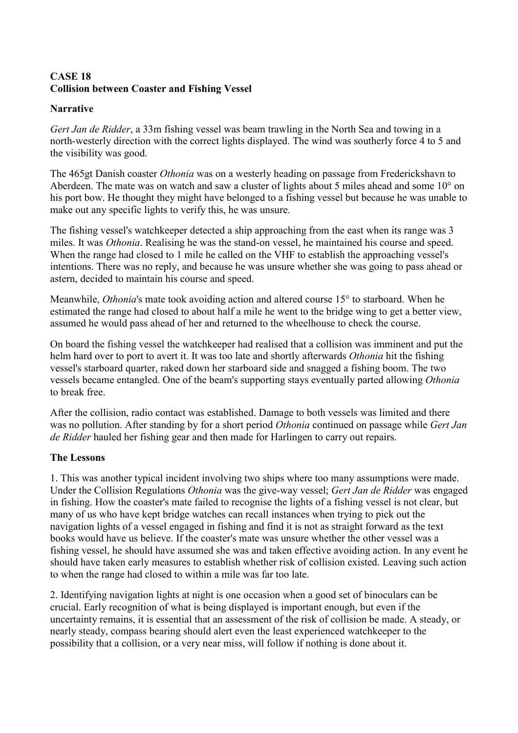### <span id="page-32-0"></span>**CASE 18 Collision between Coaster and Fishing Vessel**

### **Narrative**

*Gert Jan de Ridder*, a 33m fishing vessel was beam trawling in the North Sea and towing in a north-westerly direction with the correct lights displayed. The wind was southerly force 4 to 5 and the visibility was good.

The 465gt Danish coaster *Othonia* was on a westerly heading on passage from Frederickshavn to Aberdeen. The mate was on watch and saw a cluster of lights about 5 miles ahead and some 10° on his port bow. He thought they might have belonged to a fishing vessel but because he was unable to make out any specific lights to verify this, he was unsure.

The fishing vessel's watchkeeper detected a ship approaching from the east when its range was 3 miles. It was *Othonia*. Realising he was the stand-on vessel, he maintained his course and speed. When the range had closed to 1 mile he called on the VHF to establish the approaching vessel's intentions. There was no reply, and because he was unsure whether she was going to pass ahead or astern, decided to maintain his course and speed.

Meanwhile, *Othonia*'s mate took avoiding action and altered course 15° to starboard. When he estimated the range had closed to about half a mile he went to the bridge wing to get a better view, assumed he would pass ahead of her and returned to the wheelhouse to check the course.

On board the fishing vessel the watchkeeper had realised that a collision was imminent and put the helm hard over to port to avert it. It was too late and shortly afterwards *Othonia* hit the fishing vessel's starboard quarter, raked down her starboard side and snagged a fishing boom. The two vessels became entangled. One of the beam's supporting stays eventually parted allowing *Othonia* to break free

After the collision, radio contact was established. Damage to both vessels was limited and there was no pollution. After standing by for a short period *Othonia* continued on passage while *Gert Jan de Ridder* hauled her fishing gear and then made for Harlingen to carry out repairs.

### **The Lessons**

1. This was another typical incident involving two ships where too many assumptions were made. Under the Collision Regulations *Othonia* was the give-way vessel; *Gert Jan de Ridder* was engaged in fishing. How the coaster's mate failed to recognise the lights of a fishing vessel is not clear, but many of us who have kept bridge watches can recall instances when trying to pick out the navigation lights of a vessel engaged in fishing and find it is not as straight forward as the text books would have us believe. If the coaster's mate was unsure whether the other vessel was a fishing vessel, he should have assumed she was and taken effective avoiding action. In any event he should have taken early measures to establish whether risk of collision existed. Leaving such action to when the range had closed to within a mile was far too late.

2. Identifying navigation lights at night is one occasion when a good set of binoculars can be crucial. Early recognition of what is being displayed is important enough, but even if the uncertainty remains, it is essential that an assessment of the risk of collision be made. A steady, or nearly steady, compass bearing should alert even the least experienced watchkeeper to the possibility that a collision, or a very near miss, will follow if nothing is done about it.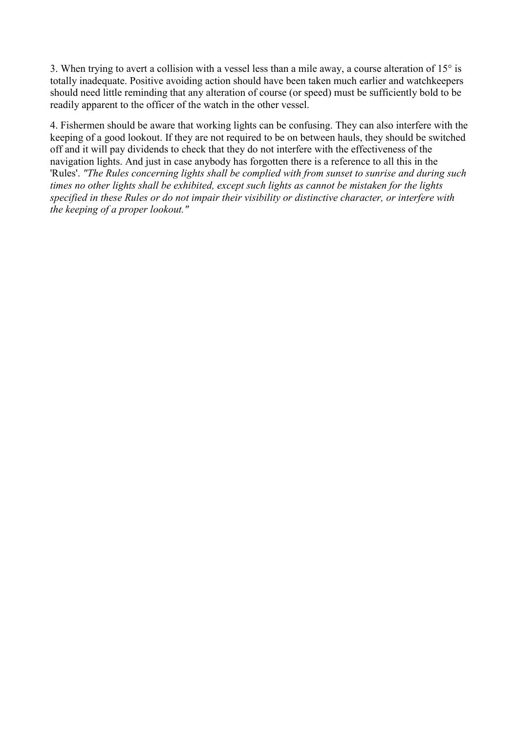3. When trying to avert a collision with a vessel less than a mile away, a course alteration of 15° is totally inadequate. Positive avoiding action should have been taken much earlier and watchkeepers should need little reminding that any alteration of course (or speed) must be sufficiently bold to be readily apparent to the officer of the watch in the other vessel.

4. Fishermen should be aware that working lights can be confusing. They can also interfere with the keeping of a good lookout. If they are not required to be on between hauls, they should be switched off and it will pay dividends to check that they do not interfere with the effectiveness of the navigation lights. And just in case anybody has forgotten there is a reference to all this in the 'Rules'. *"The Rules concerning lights shall be complied with from sunset to sunrise and during such times no other lights shall be exhibited, except such lights as cannot be mistaken for the lights specified in these Rules or do not impair their visibility or distinctive character, or interfere with the keeping of a proper lookout."*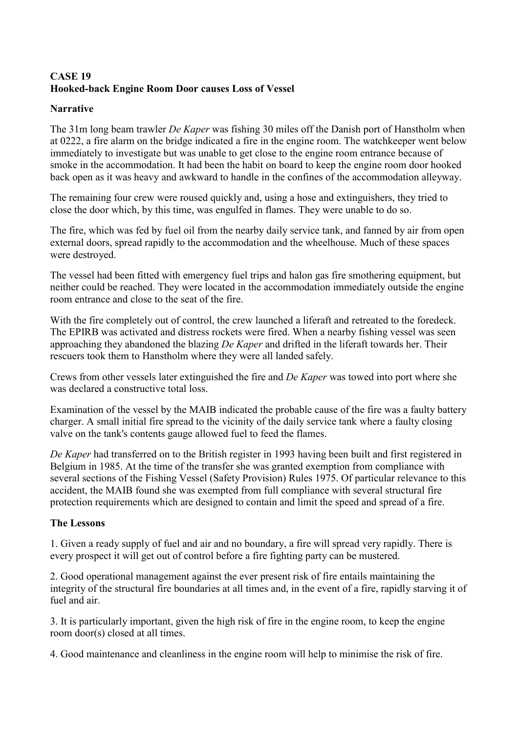# <span id="page-34-0"></span>**CASE 19 Hooked-back Engine Room Door causes Loss of Vessel**

### **Narrative**

The 31m long beam trawler *De Kaper* was fishing 30 miles off the Danish port of Hanstholm when at 0222, a fire alarm on the bridge indicated a fire in the engine room. The watchkeeper went below immediately to investigate but was unable to get close to the engine room entrance because of smoke in the accommodation. It had been the habit on board to keep the engine room door hooked back open as it was heavy and awkward to handle in the confines of the accommodation alleyway.

The remaining four crew were roused quickly and, using a hose and extinguishers, they tried to close the door which, by this time, was engulfed in flames. They were unable to do so.

The fire, which was fed by fuel oil from the nearby daily service tank, and fanned by air from open external doors, spread rapidly to the accommodation and the wheelhouse. Much of these spaces were destroyed.

The vessel had been fitted with emergency fuel trips and halon gas fire smothering equipment, but neither could be reached. They were located in the accommodation immediately outside the engine room entrance and close to the seat of the fire.

With the fire completely out of control, the crew launched a liferaft and retreated to the foredeck. The EPIRB was activated and distress rockets were fired. When a nearby fishing vessel was seen approaching they abandoned the blazing *De Kaper* and drifted in the liferaft towards her. Their rescuers took them to Hanstholm where they were all landed safely.

Crews from other vessels later extinguished the fire and *De Kaper* was towed into port where she was declared a constructive total loss.

Examination of the vessel by the MAIB indicated the probable cause of the fire was a faulty battery charger. A small initial fire spread to the vicinity of the daily service tank where a faulty closing valve on the tank's contents gauge allowed fuel to feed the flames.

*De Kaper* had transferred on to the British register in 1993 having been built and first registered in Belgium in 1985. At the time of the transfer she was granted exemption from compliance with several sections of the Fishing Vessel (Safety Provision) Rules 1975. Of particular relevance to this accident, the MAIB found she was exempted from full compliance with several structural fire protection requirements which are designed to contain and limit the speed and spread of a fire.

### **The Lessons**

1. Given a ready supply of fuel and air and no boundary, a fire will spread very rapidly. There is every prospect it will get out of control before a fire fighting party can be mustered.

2. Good operational management against the ever present risk of fire entails maintaining the integrity of the structural fire boundaries at all times and, in the event of a fire, rapidly starving it of fuel and air.

3. It is particularly important, given the high risk of fire in the engine room, to keep the engine room door(s) closed at all times.

4. Good maintenance and cleanliness in the engine room will help to minimise the risk of fire.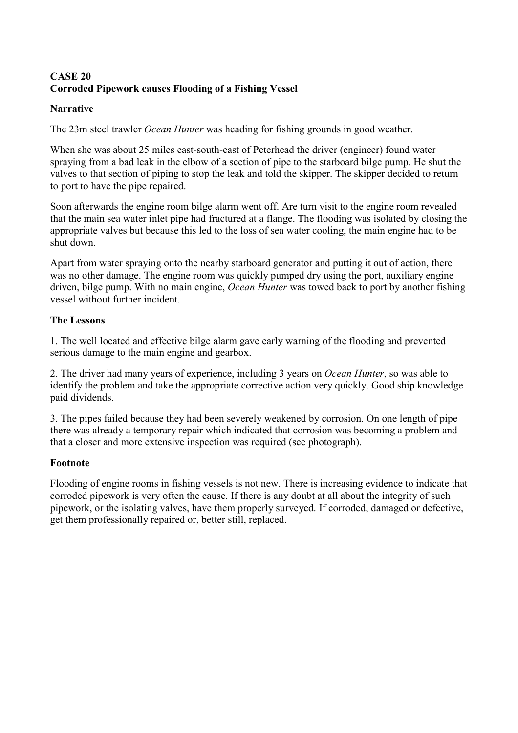# <span id="page-35-0"></span>**CASE 20 Corroded Pipework causes Flooding of a Fishing Vessel**

### **Narrative**

The 23m steel trawler *Ocean Hunter* was heading for fishing grounds in good weather.

When she was about 25 miles east-south-east of Peterhead the driver (engineer) found water spraying from a bad leak in the elbow of a section of pipe to the starboard bilge pump. He shut the valves to that section of piping to stop the leak and told the skipper. The skipper decided to return to port to have the pipe repaired.

Soon afterwards the engine room bilge alarm went off. Are turn visit to the engine room revealed that the main sea water inlet pipe had fractured at a flange. The flooding was isolated by closing the appropriate valves but because this led to the loss of sea water cooling, the main engine had to be shut down.

Apart from water spraying onto the nearby starboard generator and putting it out of action, there was no other damage. The engine room was quickly pumped dry using the port, auxiliary engine driven, bilge pump. With no main engine, *Ocean Hunter* was towed back to port by another fishing vessel without further incident.

### **The Lessons**

1. The well located and effective bilge alarm gave early warning of the flooding and prevented serious damage to the main engine and gearbox.

2. The driver had many years of experience, including 3 years on *Ocean Hunter*, so was able to identify the problem and take the appropriate corrective action very quickly. Good ship knowledge paid dividends.

3. The pipes failed because they had been severely weakened by corrosion. On one length of pipe there was already a temporary repair which indicated that corrosion was becoming a problem and that a closer and more extensive inspection was required (see photograph).

### **Footnote**

Flooding of engine rooms in fishing vessels is not new. There is increasing evidence to indicate that corroded pipework is very often the cause. If there is any doubt at all about the integrity of such pipework, or the isolating valves, have them properly surveyed. If corroded, damaged or defective, get them professionally repaired or, better still, replaced.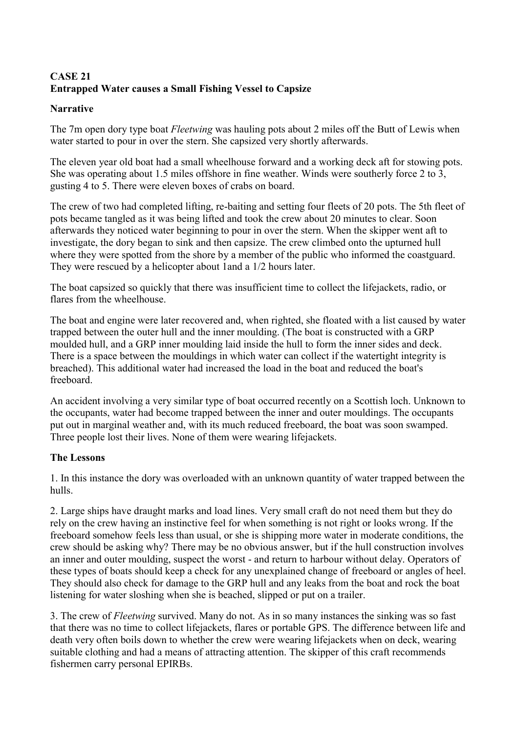# <span id="page-36-0"></span>**CASE 21 Entrapped Water causes a Small Fishing Vessel to Capsize**

### **Narrative**

The 7m open dory type boat *Fleetwing* was hauling pots about 2 miles off the Butt of Lewis when water started to pour in over the stern. She capsized very shortly afterwards.

The eleven year old boat had a small wheelhouse forward and a working deck aft for stowing pots. She was operating about 1.5 miles offshore in fine weather. Winds were southerly force 2 to 3, gusting 4 to 5. There were eleven boxes of crabs on board.

The crew of two had completed lifting, re-baiting and setting four fleets of 20 pots. The 5th fleet of pots became tangled as it was being lifted and took the crew about 20 minutes to clear. Soon afterwards they noticed water beginning to pour in over the stern. When the skipper went aft to investigate, the dory began to sink and then capsize. The crew climbed onto the upturned hull where they were spotted from the shore by a member of the public who informed the coastguard. They were rescued by a helicopter about 1and a 1/2 hours later.

The boat capsized so quickly that there was insufficient time to collect the lifejackets, radio, or flares from the wheelhouse.

The boat and engine were later recovered and, when righted, she floated with a list caused by water trapped between the outer hull and the inner moulding. (The boat is constructed with a GRP moulded hull, and a GRP inner moulding laid inside the hull to form the inner sides and deck. There is a space between the mouldings in which water can collect if the watertight integrity is breached). This additional water had increased the load in the boat and reduced the boat's freeboard.

An accident involving a very similar type of boat occurred recently on a Scottish loch. Unknown to the occupants, water had become trapped between the inner and outer mouldings. The occupants put out in marginal weather and, with its much reduced freeboard, the boat was soon swamped. Three people lost their lives. None of them were wearing lifejackets.

# **The Lessons**

1. In this instance the dory was overloaded with an unknown quantity of water trapped between the hulls.

2. Large ships have draught marks and load lines. Very small craft do not need them but they do rely on the crew having an instinctive feel for when something is not right or looks wrong. If the freeboard somehow feels less than usual, or she is shipping more water in moderate conditions, the crew should be asking why? There may be no obvious answer, but if the hull construction involves an inner and outer moulding, suspect the worst - and return to harbour without delay. Operators of these types of boats should keep a check for any unexplained change of freeboard or angles of heel. They should also check for damage to the GRP hull and any leaks from the boat and rock the boat listening for water sloshing when she is beached, slipped or put on a trailer.

3. The crew of *Fleetwing* survived. Many do not. As in so many instances the sinking was so fast that there was no time to collect lifejackets, flares or portable GPS. The difference between life and death very often boils down to whether the crew were wearing lifejackets when on deck, wearing suitable clothing and had a means of attracting attention. The skipper of this craft recommends fishermen carry personal EPIRBs.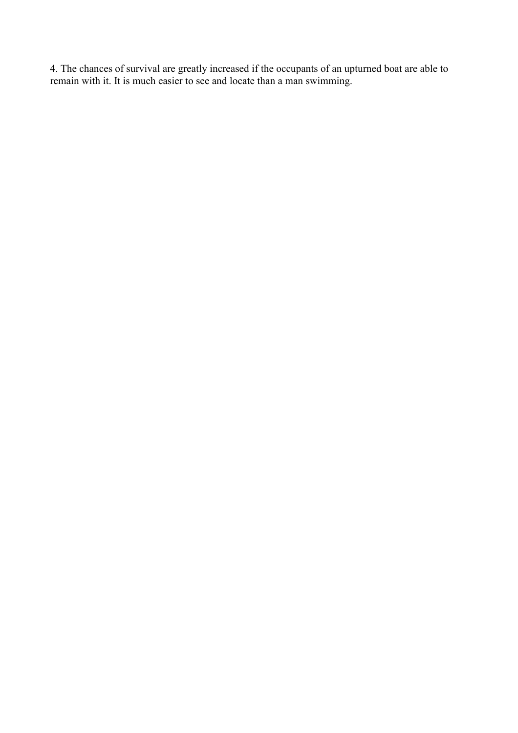4. The chances of survival are greatly increased if the occupants of an upturned boat are able to remain with it. It is much easier to see and locate than a man swimming.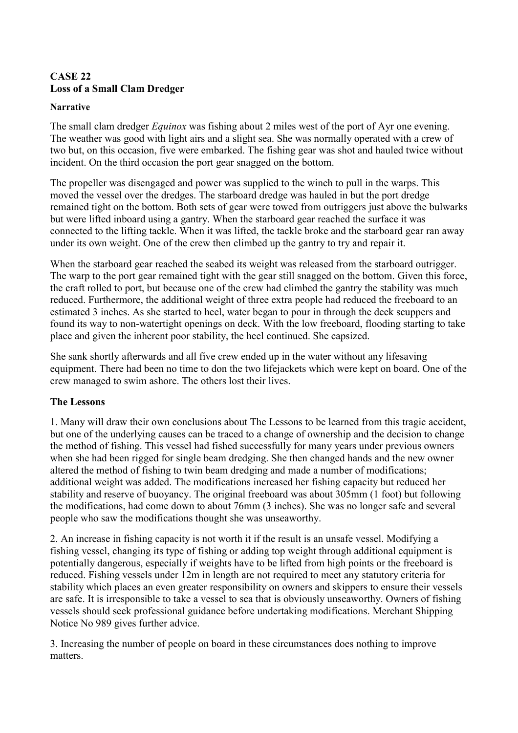# <span id="page-38-0"></span>**CASE 22 Loss of a Small Clam Dredger**

#### **Narrative**

The small clam dredger *Equinox* was fishing about 2 miles west of the port of Ayr one evening. The weather was good with light airs and a slight sea. She was normally operated with a crew of two but, on this occasion, five were embarked. The fishing gear was shot and hauled twice without incident. On the third occasion the port gear snagged on the bottom.

The propeller was disengaged and power was supplied to the winch to pull in the warps. This moved the vessel over the dredges. The starboard dredge was hauled in but the port dredge remained tight on the bottom. Both sets of gear were towed from outriggers just above the bulwarks but were lifted inboard using a gantry. When the starboard gear reached the surface it was connected to the lifting tackle. When it was lifted, the tackle broke and the starboard gear ran away under its own weight. One of the crew then climbed up the gantry to try and repair it.

When the starboard gear reached the seabed its weight was released from the starboard outrigger. The warp to the port gear remained tight with the gear still snagged on the bottom. Given this force, the craft rolled to port, but because one of the crew had climbed the gantry the stability was much reduced. Furthermore, the additional weight of three extra people had reduced the freeboard to an estimated 3 inches. As she started to heel, water began to pour in through the deck scuppers and found its way to non-watertight openings on deck. With the low freeboard, flooding starting to take place and given the inherent poor stability, the heel continued. She capsized.

She sank shortly afterwards and all five crew ended up in the water without any lifesaving equipment. There had been no time to don the two lifejackets which were kept on board. One of the crew managed to swim ashore. The others lost their lives.

### **The Lessons**

1. Many will draw their own conclusions about The Lessons to be learned from this tragic accident, but one of the underlying causes can be traced to a change of ownership and the decision to change the method of fishing. This vessel had fished successfully for many years under previous owners when she had been rigged for single beam dredging. She then changed hands and the new owner altered the method of fishing to twin beam dredging and made a number of modifications; additional weight was added. The modifications increased her fishing capacity but reduced her stability and reserve of buoyancy. The original freeboard was about 305mm (1 foot) but following the modifications, had come down to about 76mm (3 inches). She was no longer safe and several people who saw the modifications thought she was unseaworthy.

2. An increase in fishing capacity is not worth it if the result is an unsafe vessel. Modifying a fishing vessel, changing its type of fishing or adding top weight through additional equipment is potentially dangerous, especially if weights have to be lifted from high points or the freeboard is reduced. Fishing vessels under 12m in length are not required to meet any statutory criteria for stability which places an even greater responsibility on owners and skippers to ensure their vessels are safe. It is irresponsible to take a vessel to sea that is obviously unseaworthy. Owners of fishing vessels should seek professional guidance before undertaking modifications. Merchant Shipping Notice No 989 gives further advice.

3. Increasing the number of people on board in these circumstances does nothing to improve matters.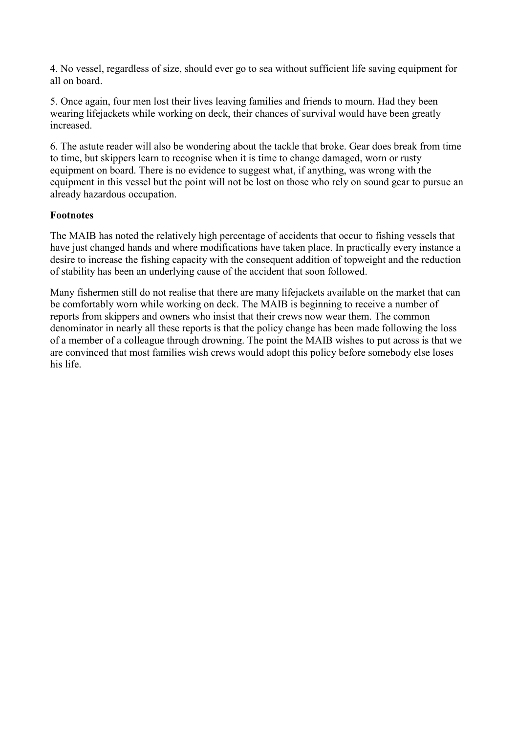4. No vessel, regardless of size, should ever go to sea without sufficient life saving equipment for all on board.

5. Once again, four men lost their lives leaving families and friends to mourn. Had they been wearing lifejackets while working on deck, their chances of survival would have been greatly increased.

6. The astute reader will also be wondering about the tackle that broke. Gear does break from time to time, but skippers learn to recognise when it is time to change damaged, worn or rusty equipment on board. There is no evidence to suggest what, if anything, was wrong with the equipment in this vessel but the point will not be lost on those who rely on sound gear to pursue an already hazardous occupation.

### **Footnotes**

The MAIB has noted the relatively high percentage of accidents that occur to fishing vessels that have just changed hands and where modifications have taken place. In practically every instance a desire to increase the fishing capacity with the consequent addition of topweight and the reduction of stability has been an underlying cause of the accident that soon followed.

Many fishermen still do not realise that there are many lifejackets available on the market that can be comfortably worn while working on deck. The MAIB is beginning to receive a number of reports from skippers and owners who insist that their crews now wear them. The common denominator in nearly all these reports is that the policy change has been made following the loss of a member of a colleague through drowning. The point the MAIB wishes to put across is that we are convinced that most families wish crews would adopt this policy before somebody else loses his life.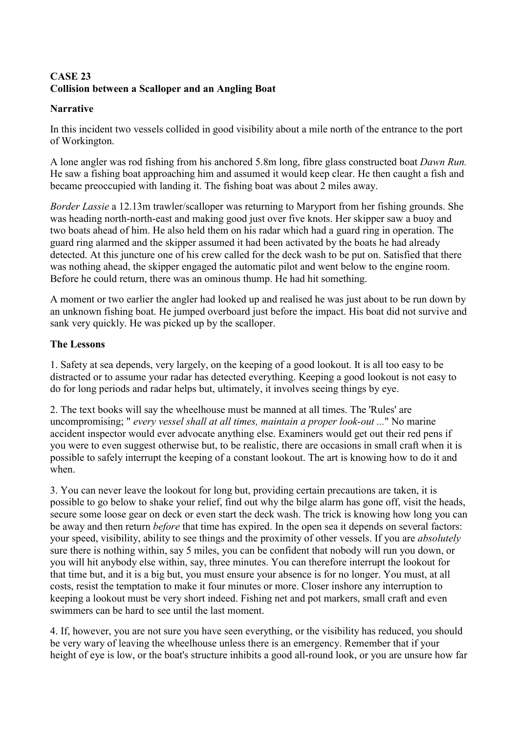# <span id="page-40-0"></span>**CASE 23 Collision between a Scalloper and an Angling Boat**

### **Narrative**

In this incident two vessels collided in good visibility about a mile north of the entrance to the port of Workington.

A lone angler was rod fishing from his anchored 5.8m long, fibre glass constructed boat *Dawn Run.* He saw a fishing boat approaching him and assumed it would keep clear. He then caught a fish and became preoccupied with landing it. The fishing boat was about 2 miles away.

*Border Lassie* a 12.13m trawler/scalloper was returning to Maryport from her fishing grounds. She was heading north-north-east and making good just over five knots. Her skipper saw a buoy and two boats ahead of him. He also held them on his radar which had a guard ring in operation. The guard ring alarmed and the skipper assumed it had been activated by the boats he had already detected. At this juncture one of his crew called for the deck wash to be put on. Satisfied that there was nothing ahead, the skipper engaged the automatic pilot and went below to the engine room. Before he could return, there was an ominous thump. He had hit something.

A moment or two earlier the angler had looked up and realised he was just about to be run down by an unknown fishing boat. He jumped overboard just before the impact. His boat did not survive and sank very quickly. He was picked up by the scalloper.

### **The Lessons**

1. Safety at sea depends, very largely, on the keeping of a good lookout. It is all too easy to be distracted or to assume your radar has detected everything. Keeping a good lookout is not easy to do for long periods and radar helps but, ultimately, it involves seeing things by eye.

2. The text books will say the wheelhouse must be manned at all times. The 'Rules' are uncompromising; " *every vessel shall at all times, maintain a proper look-out ...*" No marine accident inspector would ever advocate anything else. Examiners would get out their red pens if you were to even suggest otherwise but, to be realistic, there are occasions in small craft when it is possible to safely interrupt the keeping of a constant lookout. The art is knowing how to do it and when.

3. You can never leave the lookout for long but, providing certain precautions are taken, it is possible to go below to shake your relief, find out why the bilge alarm has gone off, visit the heads, secure some loose gear on deck or even start the deck wash. The trick is knowing how long you can be away and then return *before* that time has expired. In the open sea it depends on several factors: your speed, visibility, ability to see things and the proximity of other vessels. If you are *absolutely* sure there is nothing within, say 5 miles, you can be confident that nobody will run you down, or you will hit anybody else within, say, three minutes. You can therefore interrupt the lookout for that time but, and it is a big but, you must ensure your absence is for no longer. You must, at all costs, resist the temptation to make it four minutes or more. Closer inshore any interruption to keeping a lookout must be very short indeed. Fishing net and pot markers, small craft and even swimmers can be hard to see until the last moment.

4. If, however, you are not sure you have seen everything, or the visibility has reduced, you should be very wary of leaving the wheelhouse unless there is an emergency. Remember that if your height of eye is low, or the boat's structure inhibits a good all-round look, or you are unsure how far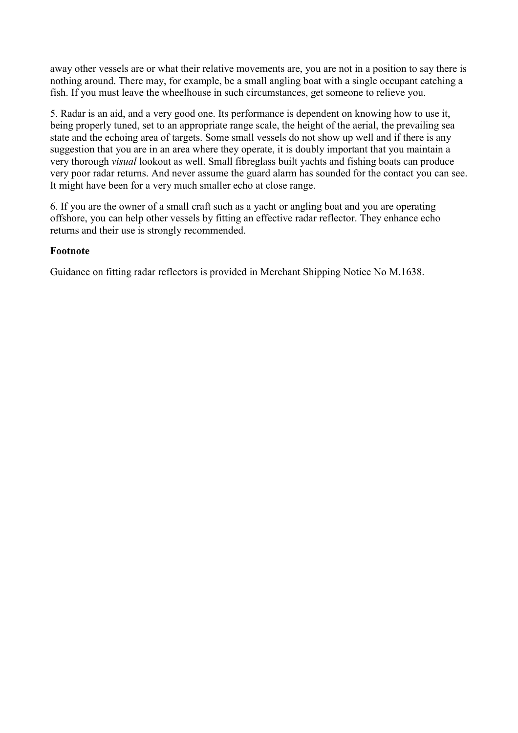away other vessels are or what their relative movements are, you are not in a position to say there is nothing around. There may, for example, be a small angling boat with a single occupant catching a fish. If you must leave the wheelhouse in such circumstances, get someone to relieve you.

5. Radar is an aid, and a very good one. Its performance is dependent on knowing how to use it, being properly tuned, set to an appropriate range scale, the height of the aerial, the prevailing sea state and the echoing area of targets. Some small vessels do not show up well and if there is any suggestion that you are in an area where they operate, it is doubly important that you maintain a very thorough *visual* lookout as well. Small fibreglass built yachts and fishing boats can produce very poor radar returns. And never assume the guard alarm has sounded for the contact you can see. It might have been for a very much smaller echo at close range.

6. If you are the owner of a small craft such as a yacht or angling boat and you are operating offshore, you can help other vessels by fitting an effective radar reflector. They enhance echo returns and their use is strongly recommended.

### **Footnote**

Guidance on fitting radar reflectors is provided in Merchant Shipping Notice No M.1638.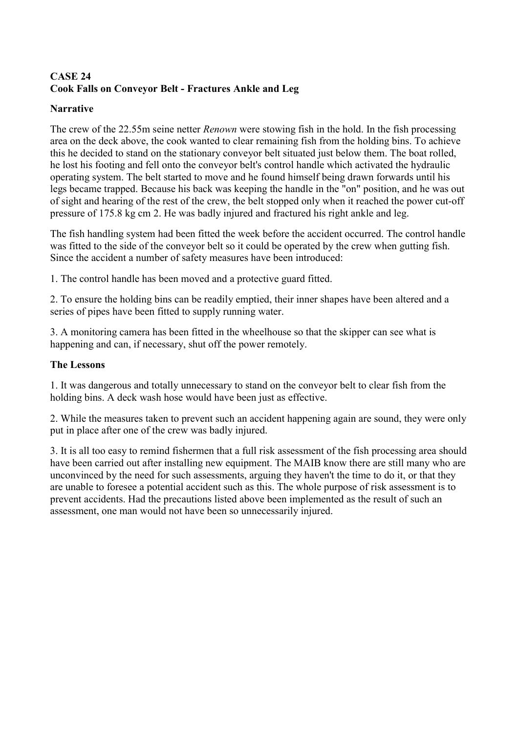# <span id="page-42-0"></span>**CASE 24 Cook Falls on Conveyor Belt - Fractures Ankle and Leg**

### **Narrative**

The crew of the 22.55m seine netter *Renown* were stowing fish in the hold. In the fish processing area on the deck above, the cook wanted to clear remaining fish from the holding bins. To achieve this he decided to stand on the stationary conveyor belt situated just below them. The boat rolled, he lost his footing and fell onto the conveyor belt's control handle which activated the hydraulic operating system. The belt started to move and he found himself being drawn forwards until his legs became trapped. Because his back was keeping the handle in the "on" position, and he was out of sight and hearing of the rest of the crew, the belt stopped only when it reached the power cut-off pressure of 175.8 kg cm 2. He was badly injured and fractured his right ankle and leg.

The fish handling system had been fitted the week before the accident occurred. The control handle was fitted to the side of the conveyor belt so it could be operated by the crew when gutting fish. Since the accident a number of safety measures have been introduced:

1. The control handle has been moved and a protective guard fitted.

2. To ensure the holding bins can be readily emptied, their inner shapes have been altered and a series of pipes have been fitted to supply running water.

3. A monitoring camera has been fitted in the wheelhouse so that the skipper can see what is happening and can, if necessary, shut off the power remotely.

### **The Lessons**

1. It was dangerous and totally unnecessary to stand on the conveyor belt to clear fish from the holding bins. A deck wash hose would have been just as effective.

2. While the measures taken to prevent such an accident happening again are sound, they were only put in place after one of the crew was badly injured.

3. It is all too easy to remind fishermen that a full risk assessment of the fish processing area should have been carried out after installing new equipment. The MAIB know there are still many who are unconvinced by the need for such assessments, arguing they haven't the time to do it, or that they are unable to foresee a potential accident such as this. The whole purpose of risk assessment is to prevent accidents. Had the precautions listed above been implemented as the result of such an assessment, one man would not have been so unnecessarily injured.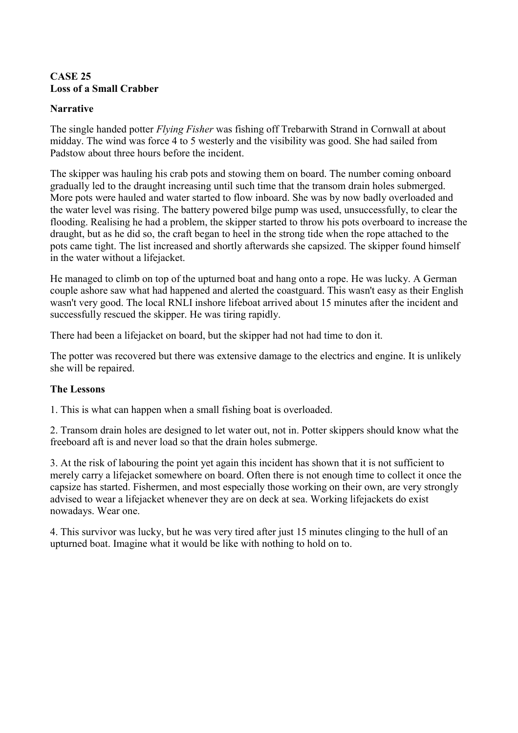### <span id="page-43-0"></span>**CASE 25 Loss of a Small Crabber**

### **Narrative**

The single handed potter *Flying Fisher* was fishing off Trebarwith Strand in Cornwall at about midday. The wind was force 4 to 5 westerly and the visibility was good. She had sailed from Padstow about three hours before the incident.

The skipper was hauling his crab pots and stowing them on board. The number coming onboard gradually led to the draught increasing until such time that the transom drain holes submerged. More pots were hauled and water started to flow inboard. She was by now badly overloaded and the water level was rising. The battery powered bilge pump was used, unsuccessfully, to clear the flooding. Realising he had a problem, the skipper started to throw his pots overboard to increase the draught, but as he did so, the craft began to heel in the strong tide when the rope attached to the pots came tight. The list increased and shortly afterwards she capsized. The skipper found himself in the water without a lifejacket.

He managed to climb on top of the upturned boat and hang onto a rope. He was lucky. A German couple ashore saw what had happened and alerted the coastguard. This wasn't easy as their English wasn't very good. The local RNLI inshore lifeboat arrived about 15 minutes after the incident and successfully rescued the skipper. He was tiring rapidly.

There had been a lifejacket on board, but the skipper had not had time to don it.

The potter was recovered but there was extensive damage to the electrics and engine. It is unlikely she will be repaired.

### **The Lessons**

1. This is what can happen when a small fishing boat is overloaded.

2. Transom drain holes are designed to let water out, not in. Potter skippers should know what the freeboard aft is and never load so that the drain holes submerge.

3. At the risk of labouring the point yet again this incident has shown that it is not sufficient to merely carry a lifejacket somewhere on board. Often there is not enough time to collect it once the capsize has started. Fishermen, and most especially those working on their own, are very strongly advised to wear a lifejacket whenever they are on deck at sea. Working lifejackets do exist nowadays. Wear one.

4. This survivor was lucky, but he was very tired after just 15 minutes clinging to the hull of an upturned boat. Imagine what it would be like with nothing to hold on to.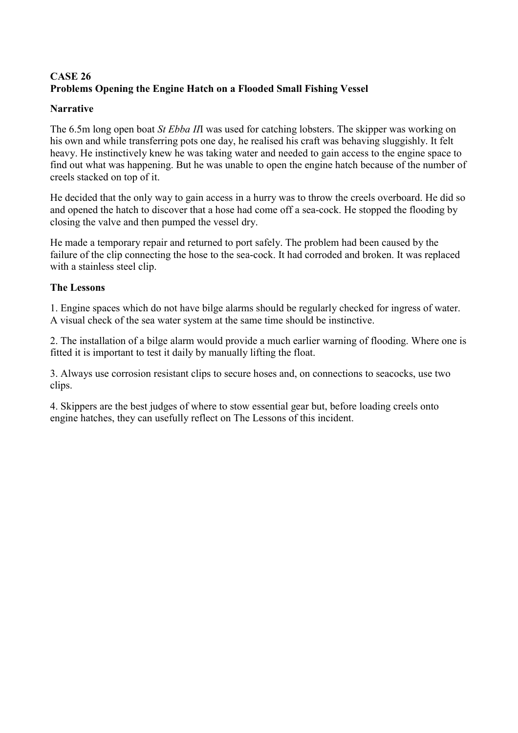# <span id="page-44-0"></span>**CASE 26 Problems Opening the Engine Hatch on a Flooded Small Fishing Vessel**

### **Narrative**

The 6.5m long open boat *St Ebba II*I was used for catching lobsters. The skipper was working on his own and while transferring pots one day, he realised his craft was behaving sluggishly. It felt heavy. He instinctively knew he was taking water and needed to gain access to the engine space to find out what was happening. But he was unable to open the engine hatch because of the number of creels stacked on top of it.

He decided that the only way to gain access in a hurry was to throw the creels overboard. He did so and opened the hatch to discover that a hose had come off a sea-cock. He stopped the flooding by closing the valve and then pumped the vessel dry.

He made a temporary repair and returned to port safely. The problem had been caused by the failure of the clip connecting the hose to the sea-cock. It had corroded and broken. It was replaced with a stainless steel clip.

### **The Lessons**

1. Engine spaces which do not have bilge alarms should be regularly checked for ingress of water. A visual check of the sea water system at the same time should be instinctive.

2. The installation of a bilge alarm would provide a much earlier warning of flooding. Where one is fitted it is important to test it daily by manually lifting the float.

3. Always use corrosion resistant clips to secure hoses and, on connections to seacocks, use two clips.

4. Skippers are the best judges of where to stow essential gear but, before loading creels onto engine hatches, they can usefully reflect on The Lessons of this incident.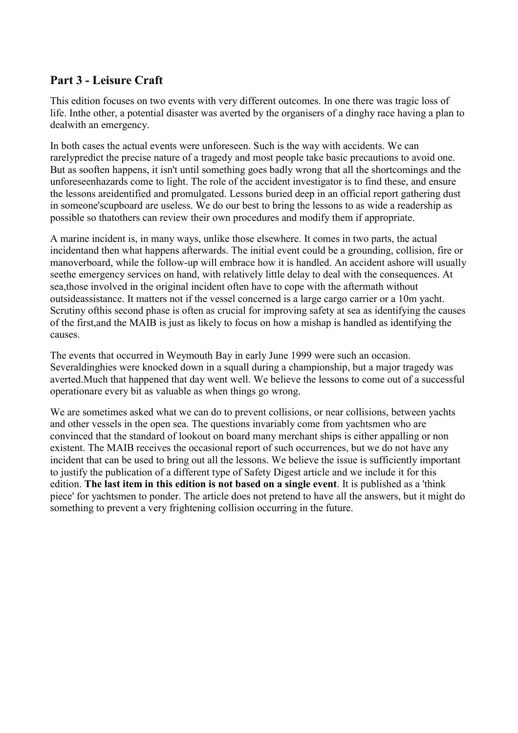# <span id="page-45-0"></span>**Part 3 - Leisure Craft**

This edition focuses on two events with very different outcomes. In one there was tragic loss of life. Inthe other, a potential disaster was averted by the organisers of a dinghy race having a plan to dealwith an emergency.

In both cases the actual events were unforeseen. Such is the way with accidents. We can rarelypredict the precise nature of a tragedy and most people take basic precautions to avoid one. But as sooften happens, it isn't until something goes badly wrong that all the shortcomings and the unforeseenhazards come to light. The role of the accident investigator is to find these, and ensure the lessons areidentified and promulgated. Lessons buried deep in an official report gathering dust in someone'scupboard are useless. We do our best to bring the lessons to as wide a readership as possible so thatothers can review their own procedures and modify them if appropriate.

A marine incident is, in many ways, unlike those elsewhere. It comes in two parts, the actual incidentand then what happens afterwards. The initial event could be a grounding, collision, fire or manoverboard, while the follow-up will embrace how it is handled. An accident ashore will usually seethe emergency services on hand, with relatively little delay to deal with the consequences. At sea,those involved in the original incident often have to cope with the aftermath without outsideassistance. It matters not if the vessel concerned is a large cargo carrier or a 10m yacht. Scrutiny ofthis second phase is often as crucial for improving safety at sea as identifying the causes of the first,and the MAIB is just as likely to focus on how a mishap is handled as identifying the causes.

The events that occurred in Weymouth Bay in early June 1999 were such an occasion. Severaldinghies were knocked down in a squall during a championship, but a major tragedy was averted.Much that happened that day went well. We believe the lessons to come out of a successful operationare every bit as valuable as when things go wrong.

We are sometimes asked what we can do to prevent collisions, or near collisions, between yachts and other vessels in the open sea. The questions invariably come from yachtsmen who are convinced that the standard of lookout on board many merchant ships is either appalling or non existent. The MAIB receives the occasional report of such occurrences, but we do not have any incident that can be used to bring out all the lessons. We believe the issue is sufficiently important to justify the publication of a different type of Safety Digest article and we include it for this edition. **The last item in this edition is not based on a single event**. It is published as a 'think piece' for yachtsmen to ponder. The article does not pretend to have all the answers, but it might do something to prevent a very frightening collision occurring in the future.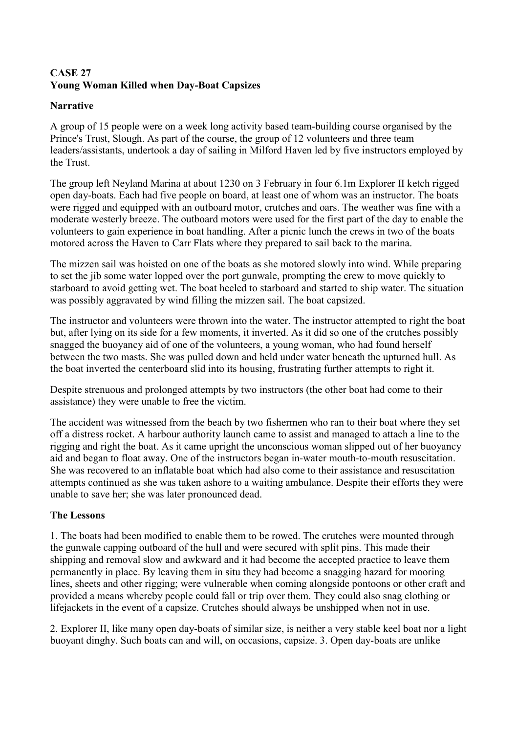# **CASE 27 Young Woman Killed when Day-Boat Capsizes**

# **Narrative**

A group of 15 people were on a week long activity based team-building course organised by the Prince's Trust, Slough. As part of the course, the group of 12 volunteers and three team leaders/assistants, undertook a day of sailing in Milford Haven led by five instructors employed by the Trust.

The group left Neyland Marina at about 1230 on 3 February in four 6.1m Explorer II ketch rigged open day-boats. Each had five people on board, at least one of whom was an instructor. The boats were rigged and equipped with an outboard motor, crutches and oars. The weather was fine with a moderate westerly breeze. The outboard motors were used for the first part of the day to enable the volunteers to gain experience in boat handling. After a picnic lunch the crews in two of the boats motored across the Haven to Carr Flats where they prepared to sail back to the marina.

The mizzen sail was hoisted on one of the boats as she motored slowly into wind. While preparing to set the jib some water lopped over the port gunwale, prompting the crew to move quickly to starboard to avoid getting wet. The boat heeled to starboard and started to ship water. The situation was possibly aggravated by wind filling the mizzen sail. The boat capsized.

The instructor and volunteers were thrown into the water. The instructor attempted to right the boat but, after lying on its side for a few moments, it inverted. As it did so one of the crutches possibly snagged the buoyancy aid of one of the volunteers, a young woman, who had found herself between the two masts. She was pulled down and held under water beneath the upturned hull. As the boat inverted the centerboard slid into its housing, frustrating further attempts to right it.

Despite strenuous and prolonged attempts by two instructors (the other boat had come to their assistance) they were unable to free the victim.

The accident was witnessed from the beach by two fishermen who ran to their boat where they set off a distress rocket. A harbour authority launch came to assist and managed to attach a line to the rigging and right the boat. As it came upright the unconscious woman slipped out of her buoyancy aid and began to float away. One of the instructors began in-water mouth-to-mouth resuscitation. She was recovered to an inflatable boat which had also come to their assistance and resuscitation attempts continued as she was taken ashore to a waiting ambulance. Despite their efforts they were unable to save her; she was later pronounced dead.

# **The Lessons**

1. The boats had been modified to enable them to be rowed. The crutches were mounted through the gunwale capping outboard of the hull and were secured with split pins. This made their shipping and removal slow and awkward and it had become the accepted practice to leave them permanently in place. By leaving them in situ they had become a snagging hazard for mooring lines, sheets and other rigging; were vulnerable when coming alongside pontoons or other craft and provided a means whereby people could fall or trip over them. They could also snag clothing or lifejackets in the event of a capsize. Crutches should always be unshipped when not in use.

2. Explorer II, like many open day-boats of similar size, is neither a very stable keel boat nor a light buoyant dinghy. Such boats can and will, on occasions, capsize. 3. Open day-boats are unlike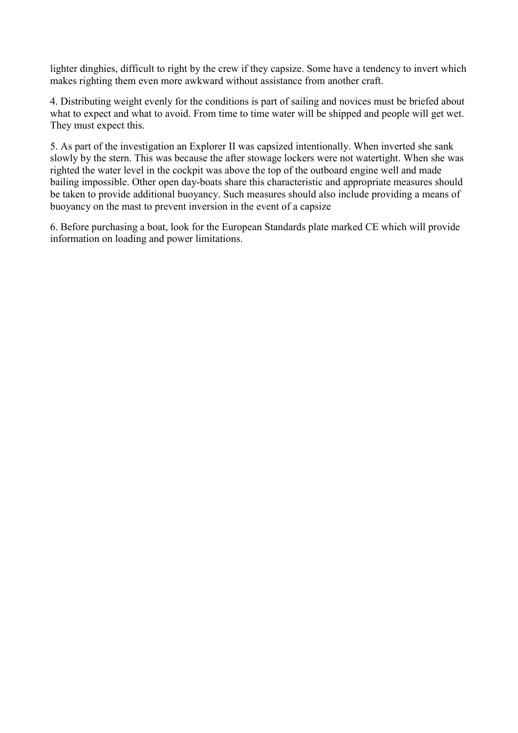lighter dinghies, difficult to right by the crew if they capsize. Some have a tendency to invert which makes righting them even more awkward without assistance from another craft.

4. Distributing weight evenly for the conditions is part of sailing and novices must be briefed about what to expect and what to avoid. From time to time water will be shipped and people will get wet. They must expect this.

5. As part of the investigation an Explorer II was capsized intentionally. When inverted she sank slowly by the stern. This was because the after stowage lockers were not watertight. When she was righted the water level in the cockpit was above the top of the outboard engine well and made bailing impossible. Other open day-boats share this characteristic and appropriate measures should be taken to provide additional buoyancy. Such measures should also include providing a means of buoyancy on the mast to prevent inversion in the event of a capsize

6. Before purchasing a boat, look for the European Standards plate marked CE which will provide information on loading and power limitations.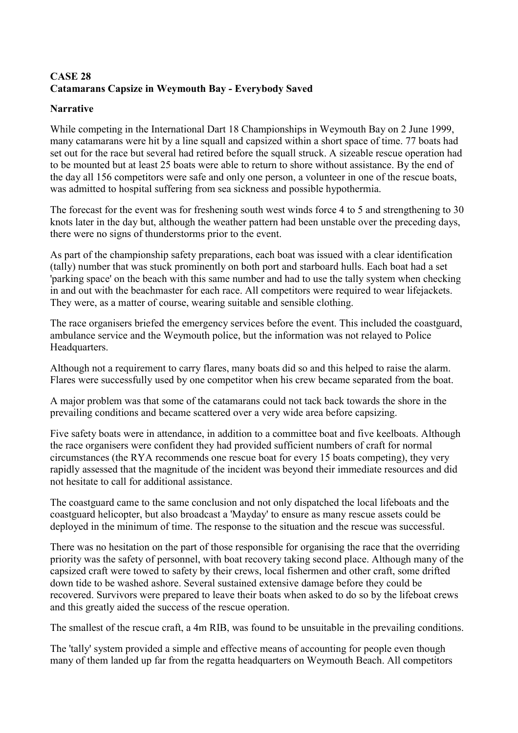# <span id="page-48-0"></span>**CASE 28 Catamarans Capsize in Weymouth Bay - Everybody Saved**

### **Narrative**

While competing in the International Dart 18 Championships in Weymouth Bay on 2 June 1999, many catamarans were hit by a line squall and capsized within a short space of time. 77 boats had set out for the race but several had retired before the squall struck. A sizeable rescue operation had to be mounted but at least 25 boats were able to return to shore without assistance. By the end of the day all 156 competitors were safe and only one person, a volunteer in one of the rescue boats, was admitted to hospital suffering from sea sickness and possible hypothermia.

The forecast for the event was for freshening south west winds force 4 to 5 and strengthening to 30 knots later in the day but, although the weather pattern had been unstable over the preceding days, there were no signs of thunderstorms prior to the event.

As part of the championship safety preparations, each boat was issued with a clear identification (tally) number that was stuck prominently on both port and starboard hulls. Each boat had a set 'parking space' on the beach with this same number and had to use the tally system when checking in and out with the beachmaster for each race. All competitors were required to wear lifejackets. They were, as a matter of course, wearing suitable and sensible clothing.

The race organisers briefed the emergency services before the event. This included the coastguard, ambulance service and the Weymouth police, but the information was not relayed to Police Headquarters.

Although not a requirement to carry flares, many boats did so and this helped to raise the alarm. Flares were successfully used by one competitor when his crew became separated from the boat.

A major problem was that some of the catamarans could not tack back towards the shore in the prevailing conditions and became scattered over a very wide area before capsizing.

Five safety boats were in attendance, in addition to a committee boat and five keelboats. Although the race organisers were confident they had provided sufficient numbers of craft for normal circumstances (the RYA recommends one rescue boat for every 15 boats competing), they very rapidly assessed that the magnitude of the incident was beyond their immediate resources and did not hesitate to call for additional assistance.

The coastguard came to the same conclusion and not only dispatched the local lifeboats and the coastguard helicopter, but also broadcast a 'Mayday' to ensure as many rescue assets could be deployed in the minimum of time. The response to the situation and the rescue was successful.

There was no hesitation on the part of those responsible for organising the race that the overriding priority was the safety of personnel, with boat recovery taking second place. Although many of the capsized craft were towed to safety by their crews, local fishermen and other craft, some drifted down tide to be washed ashore. Several sustained extensive damage before they could be recovered. Survivors were prepared to leave their boats when asked to do so by the lifeboat crews and this greatly aided the success of the rescue operation.

The smallest of the rescue craft, a 4m RIB, was found to be unsuitable in the prevailing conditions.

The 'tally' system provided a simple and effective means of accounting for people even though many of them landed up far from the regatta headquarters on Weymouth Beach. All competitors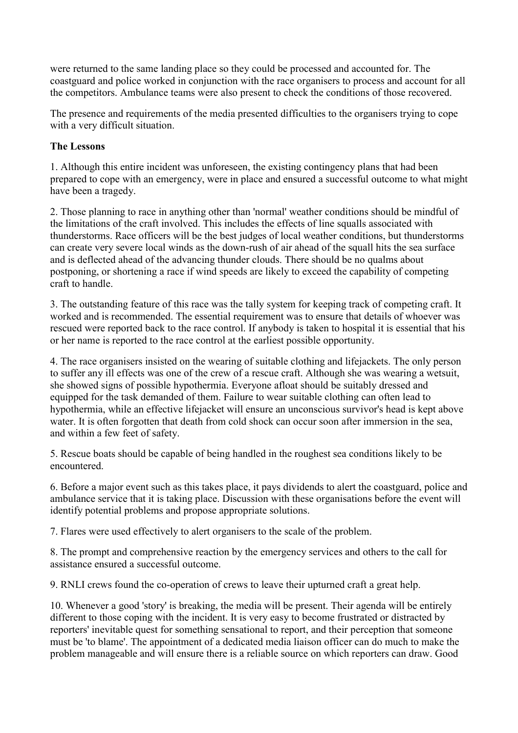were returned to the same landing place so they could be processed and accounted for. The coastguard and police worked in conjunction with the race organisers to process and account for all the competitors. Ambulance teams were also present to check the conditions of those recovered.

The presence and requirements of the media presented difficulties to the organisers trying to cope with a very difficult situation.

### **The Lessons**

1. Although this entire incident was unforeseen, the existing contingency plans that had been prepared to cope with an emergency, were in place and ensured a successful outcome to what might have been a tragedy.

2. Those planning to race in anything other than 'normal' weather conditions should be mindful of the limitations of the craft involved. This includes the effects of line squalls associated with thunderstorms. Race officers will be the best judges of local weather conditions, but thunderstorms can create very severe local winds as the down-rush of air ahead of the squall hits the sea surface and is deflected ahead of the advancing thunder clouds. There should be no qualms about postponing, or shortening a race if wind speeds are likely to exceed the capability of competing craft to handle.

3. The outstanding feature of this race was the tally system for keeping track of competing craft. It worked and is recommended. The essential requirement was to ensure that details of whoever was rescued were reported back to the race control. If anybody is taken to hospital it is essential that his or her name is reported to the race control at the earliest possible opportunity.

4. The race organisers insisted on the wearing of suitable clothing and lifejackets. The only person to suffer any ill effects was one of the crew of a rescue craft. Although she was wearing a wetsuit, she showed signs of possible hypothermia. Everyone afloat should be suitably dressed and equipped for the task demanded of them. Failure to wear suitable clothing can often lead to hypothermia, while an effective lifejacket will ensure an unconscious survivor's head is kept above water. It is often forgotten that death from cold shock can occur soon after immersion in the sea, and within a few feet of safety.

5. Rescue boats should be capable of being handled in the roughest sea conditions likely to be encountered.

6. Before a major event such as this takes place, it pays dividends to alert the coastguard, police and ambulance service that it is taking place. Discussion with these organisations before the event will identify potential problems and propose appropriate solutions.

7. Flares were used effectively to alert organisers to the scale of the problem.

8. The prompt and comprehensive reaction by the emergency services and others to the call for assistance ensured a successful outcome.

9. RNLI crews found the co-operation of crews to leave their upturned craft a great help.

10. Whenever a good 'story' is breaking, the media will be present. Their agenda will be entirely different to those coping with the incident. It is very easy to become frustrated or distracted by reporters' inevitable quest for something sensational to report, and their perception that someone must be 'to blame'. The appointment of a dedicated media liaison officer can do much to make the problem manageable and will ensure there is a reliable source on which reporters can draw. Good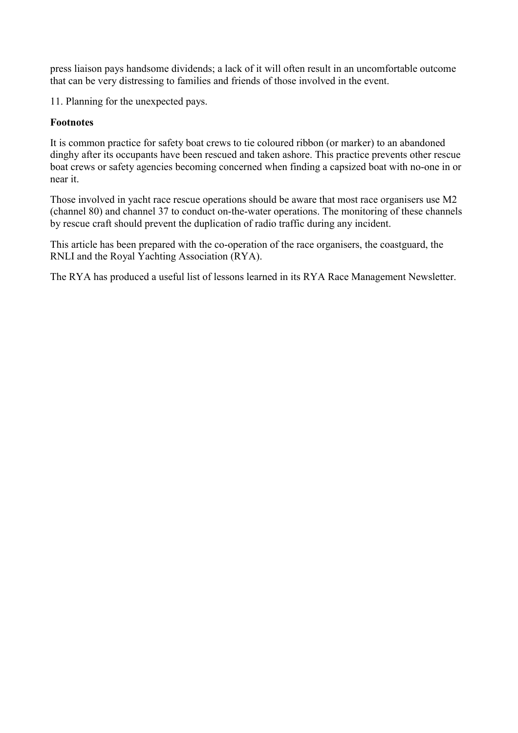press liaison pays handsome dividends; a lack of it will often result in an uncomfortable outcome that can be very distressing to families and friends of those involved in the event.

11. Planning for the unexpected pays.

### **Footnotes**

It is common practice for safety boat crews to tie coloured ribbon (or marker) to an abandoned dinghy after its occupants have been rescued and taken ashore. This practice prevents other rescue boat crews or safety agencies becoming concerned when finding a capsized boat with no-one in or near it.

Those involved in yacht race rescue operations should be aware that most race organisers use M2 (channel 80) and channel 37 to conduct on-the-water operations. The monitoring of these channels by rescue craft should prevent the duplication of radio traffic during any incident.

This article has been prepared with the co-operation of the race organisers, the coastguard, the RNLI and the Royal Yachting Association (RYA).

The RYA has produced a useful list of lessons learned in its RYA Race Management Newsletter.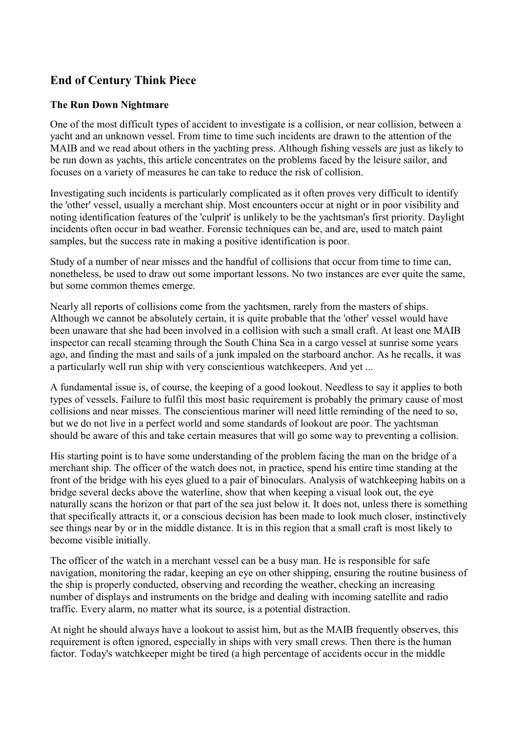# <span id="page-51-0"></span>**End of Century Think Piece**

### **The Run Down Nightmare**

One of the most difficult types of accident to investigate is a collision, or near collision, between a yacht and an unknown vessel. From time to time such incidents are drawn to the attention of the MAIB and we read about others in the yachting press. Although fishing vessels are just as likely to be run down as yachts, this article concentrates on the problems faced by the leisure sailor, and focuses on a variety of measures he can take to reduce the risk of collision.

Investigating such incidents is particularly complicated as it often proves very difficult to identify the 'other' vessel, usually a merchant ship. Most encounters occur at night or in poor visibility and noting identification features of the 'culprit' is unlikely to be the yachtsman's first priority. Daylight incidents often occur in bad weather. Forensic techniques can be, and are, used to match paint samples, but the success rate in making a positive identification is poor.

Study of a number of near misses and the handful of collisions that occur from time to time can, nonetheless, be used to draw out some important lessons. No two instances are ever quite the same, but some common themes emerge.

Nearly all reports of collisions come from the yachtsmen, rarely from the masters of ships. Although we cannot be absolutely certain, it is quite probable that the 'other' vessel would have been unaware that she had been involved in a collision with such a small craft. At least one MAIB inspector can recall steaming through the South China Sea in a cargo vessel at sunrise some years ago, and finding the mast and sails of a junk impaled on the starboard anchor. As he recalls, it was a particularly well run ship with very conscientious watchkeepers. And yet ...

A fundamental issue is, of course, the keeping of a good lookout. Needless to say it applies to both types of vessels. Failure to fulfil this most basic requirement is probably the primary cause of most collisions and near misses. The conscientious mariner will need little reminding of the need to so, but we do not live in a perfect world and some standards of lookout are poor. The yachtsman should be aware of this and take certain measures that will go some way to preventing a collision.

His starting point is to have some understanding of the problem facing the man on the bridge of a merchant ship. The officer of the watch does not, in practice, spend his entire time standing at the front of the bridge with his eyes glued to a pair of binoculars. Analysis of watchkeeping habits on a bridge several decks above the waterline, show that when keeping a visual look out, the eye naturally scans the horizon or that part of the sea just below it. It does not, unless there is something that specifically attracts it, or a conscious decision has been made to look much closer, instinctively see things near by or in the middle distance. It is in this region that a small craft is most likely to become visible initially.

The officer of the watch in a merchant vessel can be a busy man. He is responsible for safe navigation, monitoring the radar, keeping an eye on other shipping, ensuring the routine business of the ship is properly conducted, observing and recording the weather, checking an increasing number of displays and instruments on the bridge and dealing with incoming satellite and radio traffic. Every alarm, no matter what its source, is a potential distraction.

At night he should always have a lookout to assist him, but as the MAIB frequently observes, this requirement is often ignored, especially in ships with very small crews. Then there is the human factor. Today's watchkeeper might be tired (a high percentage of accidents occur in the middle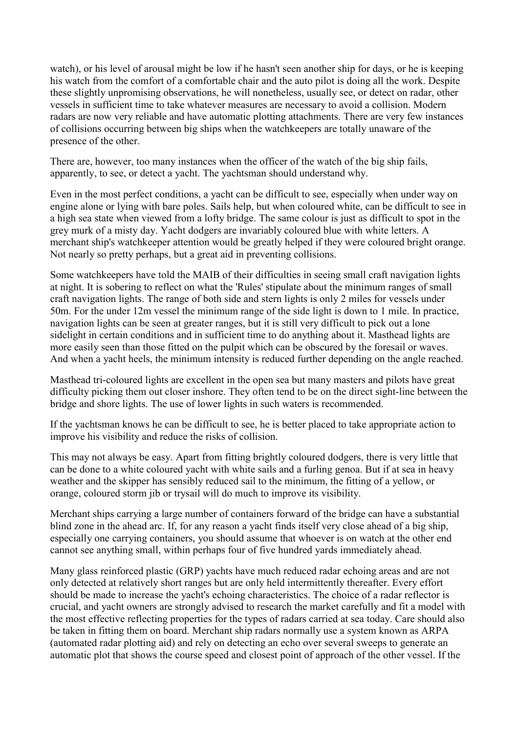watch), or his level of arousal might be low if he hasn't seen another ship for days, or he is keeping his watch from the comfort of a comfortable chair and the auto pilot is doing all the work. Despite these slightly unpromising observations, he will nonetheless, usually see, or detect on radar, other vessels in sufficient time to take whatever measures are necessary to avoid a collision. Modern radars are now very reliable and have automatic plotting attachments. There are very few instances of collisions occurring between big ships when the watchkeepers are totally unaware of the presence of the other.

There are, however, too many instances when the officer of the watch of the big ship fails, apparently, to see, or detect a yacht. The yachtsman should understand why.

Even in the most perfect conditions, a yacht can be difficult to see, especially when under way on engine alone or lying with bare poles. Sails help, but when coloured white, can be difficult to see in a high sea state when viewed from a lofty bridge. The same colour is just as difficult to spot in the grey murk of a misty day. Yacht dodgers are invariably coloured blue with white letters. A merchant ship's watchkeeper attention would be greatly helped if they were coloured bright orange. Not nearly so pretty perhaps, but a great aid in preventing collisions.

Some watchkeepers have told the MAIB of their difficulties in seeing small craft navigation lights at night. It is sobering to reflect on what the 'Rules' stipulate about the minimum ranges of small craft navigation lights. The range of both side and stern lights is only 2 miles for vessels under 50m. For the under 12m vessel the minimum range of the side light is down to 1 mile. In practice, navigation lights can be seen at greater ranges, but it is still very difficult to pick out a lone sidelight in certain conditions and in sufficient time to do anything about it. Masthead lights are more easily seen than those fitted on the pulpit which can be obscured by the foresail or waves. And when a yacht heels, the minimum intensity is reduced further depending on the angle reached.

Masthead tri-coloured lights are excellent in the open sea but many masters and pilots have great difficulty picking them out closer inshore. They often tend to be on the direct sight-line between the bridge and shore lights. The use of lower lights in such waters is recommended.

If the yachtsman knows he can be difficult to see, he is better placed to take appropriate action to improve his visibility and reduce the risks of collision.

This may not always be easy. Apart from fitting brightly coloured dodgers, there is very little that can be done to a white coloured yacht with white sails and a furling genoa. But if at sea in heavy weather and the skipper has sensibly reduced sail to the minimum, the fitting of a yellow, or orange, coloured storm jib or trysail will do much to improve its visibility.

Merchant ships carrying a large number of containers forward of the bridge can have a substantial blind zone in the ahead arc. If, for any reason a yacht finds itself very close ahead of a big ship, especially one carrying containers, you should assume that whoever is on watch at the other end cannot see anything small, within perhaps four of five hundred yards immediately ahead.

Many glass reinforced plastic (GRP) yachts have much reduced radar echoing areas and are not only detected at relatively short ranges but are only held intermittently thereafter. Every effort should be made to increase the yacht's echoing characteristics. The choice of a radar reflector is crucial, and yacht owners are strongly advised to research the market carefully and fit a model with the most effective reflecting properties for the types of radars carried at sea today. Care should also be taken in fitting them on board. Merchant ship radars normally use a system known as ARPA (automated radar plotting aid) and rely on detecting an echo over several sweeps to generate an automatic plot that shows the course speed and closest point of approach of the other vessel. If the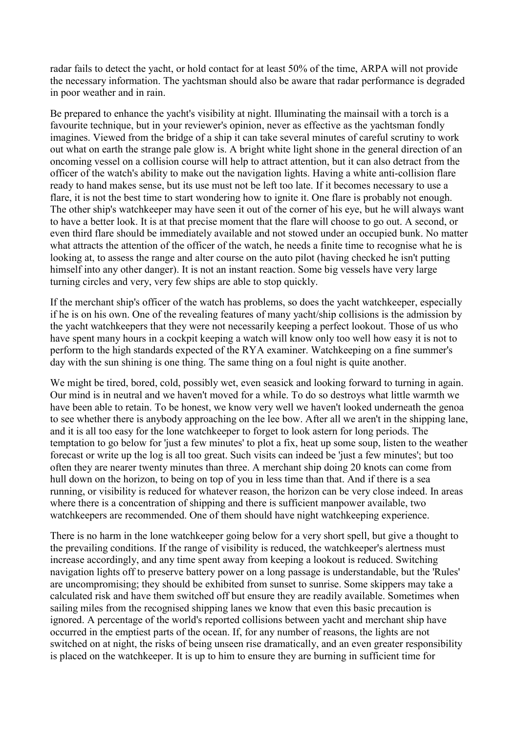radar fails to detect the yacht, or hold contact for at least 50% of the time, ARPA will not provide the necessary information. The yachtsman should also be aware that radar performance is degraded in poor weather and in rain.

Be prepared to enhance the yacht's visibility at night. Illuminating the mainsail with a torch is a favourite technique, but in your reviewer's opinion, never as effective as the yachtsman fondly imagines. Viewed from the bridge of a ship it can take several minutes of careful scrutiny to work out what on earth the strange pale glow is. A bright white light shone in the general direction of an oncoming vessel on a collision course will help to attract attention, but it can also detract from the officer of the watch's ability to make out the navigation lights. Having a white anti-collision flare ready to hand makes sense, but its use must not be left too late. If it becomes necessary to use a flare, it is not the best time to start wondering how to ignite it. One flare is probably not enough. The other ship's watchkeeper may have seen it out of the corner of his eye, but he will always want to have a better look. It is at that precise moment that the flare will choose to go out. A second, or even third flare should be immediately available and not stowed under an occupied bunk. No matter what attracts the attention of the officer of the watch, he needs a finite time to recognise what he is looking at, to assess the range and alter course on the auto pilot (having checked he isn't putting himself into any other danger). It is not an instant reaction. Some big vessels have very large turning circles and very, very few ships are able to stop quickly.

If the merchant ship's officer of the watch has problems, so does the yacht watchkeeper, especially if he is on his own. One of the revealing features of many yacht/ship collisions is the admission by the yacht watchkeepers that they were not necessarily keeping a perfect lookout. Those of us who have spent many hours in a cockpit keeping a watch will know only too well how easy it is not to perform to the high standards expected of the RYA examiner. Watchkeeping on a fine summer's day with the sun shining is one thing. The same thing on a foul night is quite another.

We might be tired, bored, cold, possibly wet, even seasick and looking forward to turning in again. Our mind is in neutral and we haven't moved for a while. To do so destroys what little warmth we have been able to retain. To be honest, we know very well we haven't looked underneath the genoa to see whether there is anybody approaching on the lee bow. After all we aren't in the shipping lane, and it is all too easy for the lone watchkeeper to forget to look astern for long periods. The temptation to go below for 'just a few minutes' to plot a fix, heat up some soup, listen to the weather forecast or write up the log is all too great. Such visits can indeed be 'just a few minutes'; but too often they are nearer twenty minutes than three. A merchant ship doing 20 knots can come from hull down on the horizon, to being on top of you in less time than that. And if there is a sea running, or visibility is reduced for whatever reason, the horizon can be very close indeed. In areas where there is a concentration of shipping and there is sufficient manpower available, two watchkeepers are recommended. One of them should have night watchkeeping experience.

There is no harm in the lone watchkeeper going below for a very short spell, but give a thought to the prevailing conditions. If the range of visibility is reduced, the watchkeeper's alertness must increase accordingly, and any time spent away from keeping a lookout is reduced. Switching navigation lights off to preserve battery power on a long passage is understandable, but the 'Rules' are uncompromising; they should be exhibited from sunset to sunrise. Some skippers may take a calculated risk and have them switched off but ensure they are readily available. Sometimes when sailing miles from the recognised shipping lanes we know that even this basic precaution is ignored. A percentage of the world's reported collisions between yacht and merchant ship have occurred in the emptiest parts of the ocean. If, for any number of reasons, the lights are not switched on at night, the risks of being unseen rise dramatically, and an even greater responsibility is placed on the watchkeeper. It is up to him to ensure they are burning in sufficient time for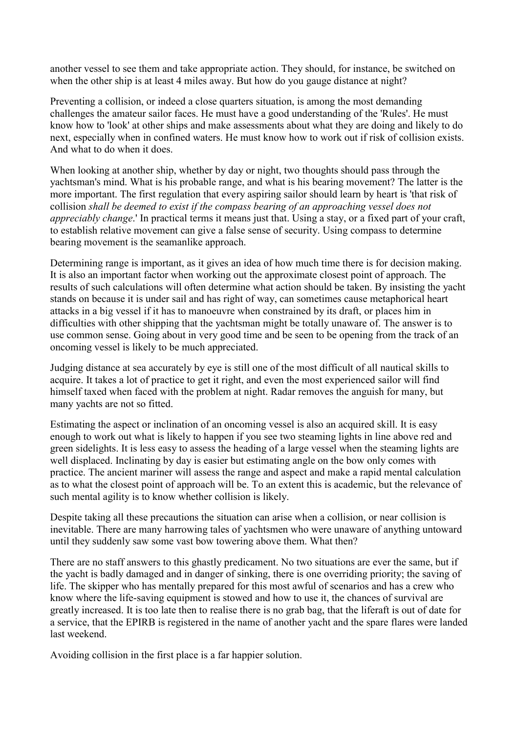another vessel to see them and take appropriate action. They should, for instance, be switched on when the other ship is at least 4 miles away. But how do you gauge distance at night?

Preventing a collision, or indeed a close quarters situation, is among the most demanding challenges the amateur sailor faces. He must have a good understanding of the 'Rules'. He must know how to 'look' at other ships and make assessments about what they are doing and likely to do next, especially when in confined waters. He must know how to work out if risk of collision exists. And what to do when it does.

When looking at another ship, whether by day or night, two thoughts should pass through the yachtsman's mind. What is his probable range, and what is his bearing movement? The latter is the more important. The first regulation that every aspiring sailor should learn by heart is 'that risk of collision *shall be deemed to exist if the compass bearing of an approaching vessel does not appreciably change*.' In practical terms it means just that. Using a stay, or a fixed part of your craft, to establish relative movement can give a false sense of security. Using compass to determine bearing movement is the seamanlike approach.

Determining range is important, as it gives an idea of how much time there is for decision making. It is also an important factor when working out the approximate closest point of approach. The results of such calculations will often determine what action should be taken. By insisting the yacht stands on because it is under sail and has right of way, can sometimes cause metaphorical heart attacks in a big vessel if it has to manoeuvre when constrained by its draft, or places him in difficulties with other shipping that the yachtsman might be totally unaware of. The answer is to use common sense. Going about in very good time and be seen to be opening from the track of an oncoming vessel is likely to be much appreciated.

Judging distance at sea accurately by eye is still one of the most difficult of all nautical skills to acquire. It takes a lot of practice to get it right, and even the most experienced sailor will find himself taxed when faced with the problem at night. Radar removes the anguish for many, but many yachts are not so fitted.

Estimating the aspect or inclination of an oncoming vessel is also an acquired skill. It is easy enough to work out what is likely to happen if you see two steaming lights in line above red and green sidelights. It is less easy to assess the heading of a large vessel when the steaming lights are well displaced. Inclinating by day is easier but estimating angle on the bow only comes with practice. The ancient mariner will assess the range and aspect and make a rapid mental calculation as to what the closest point of approach will be. To an extent this is academic, but the relevance of such mental agility is to know whether collision is likely.

Despite taking all these precautions the situation can arise when a collision, or near collision is inevitable. There are many harrowing tales of yachtsmen who were unaware of anything untoward until they suddenly saw some vast bow towering above them. What then?

There are no staff answers to this ghastly predicament. No two situations are ever the same, but if the yacht is badly damaged and in danger of sinking, there is one overriding priority; the saving of life. The skipper who has mentally prepared for this most awful of scenarios and has a crew who know where the life-saving equipment is stowed and how to use it, the chances of survival are greatly increased. It is too late then to realise there is no grab bag, that the liferaft is out of date for a service, that the EPIRB is registered in the name of another yacht and the spare flares were landed last weekend.

Avoiding collision in the first place is a far happier solution.